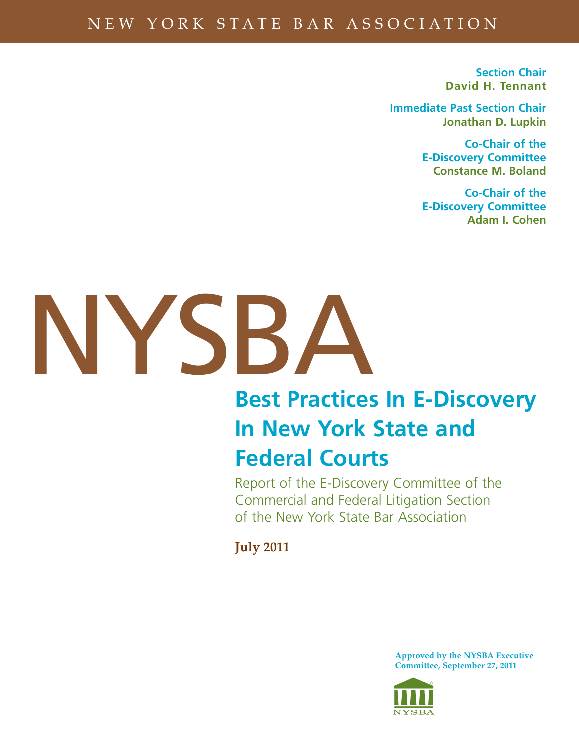# NEW YORK STATE BAR ASSOCIATION

**Section Chair David H. Tennant**

**Immediate Past Section Chair Jonathan D. Lupkin**

> **Co-Chair of the E-Discovery Committee Constance M. Boland**

> **Co-Chair of the E-Discovery Committee Adam I. Cohen**



# **Best Practices In E-Discovery In New York State and Federal Courts**

Report of the E-Discovery Committee of the Commercial and Federal Litigation Section of the New York State Bar Association

**July 2011**

**Approved by the NYSBA Executive Committee, September 27, 2011**

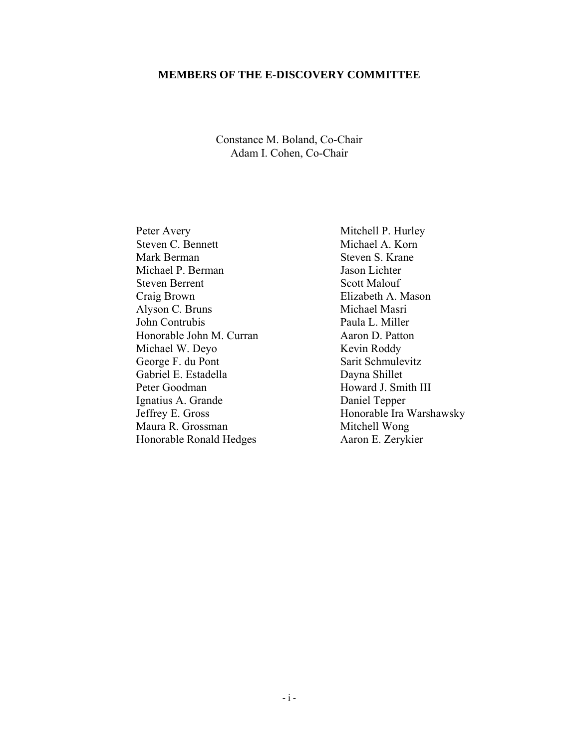### **MEMBERS OF THE E-DISCOVERY COMMITTEE**

### Constance M. Boland, Co-Chair Adam I. Cohen, Co-Chair

Peter Avery Mitchell P. Hurley Steven C. Bennett Michael A. Korn Mark Berman Steven S. Krane Michael P. Berman Jason Lichter Steven Berrent Scott Malouf Craig Brown Elizabeth A. Mason<br>Alyson C. Bruns Michael Masri Alyson C. Bruns John Contrubis Paula L. Miller Honorable John M. Curran Aaron D. Patton Michael W. Deyo Kevin Roddy George F. du Pont Sarit Schmulevitz Gabriel E. Estadella Dayna Shillet Peter Goodman Howard J. Smith III Ignatius A. Grande Daniel Tepper Jeffrey E. Gross Honorable Ira Warshawsky Maura R. Grossman Mitchell Wong Honorable Ronald Hedges Aaron E. Zerykier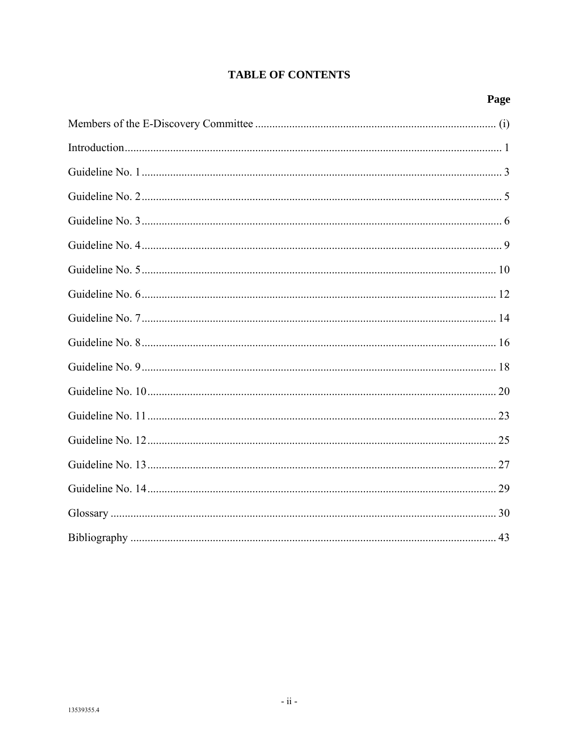### **TABLE OF CONTENTS**

### Page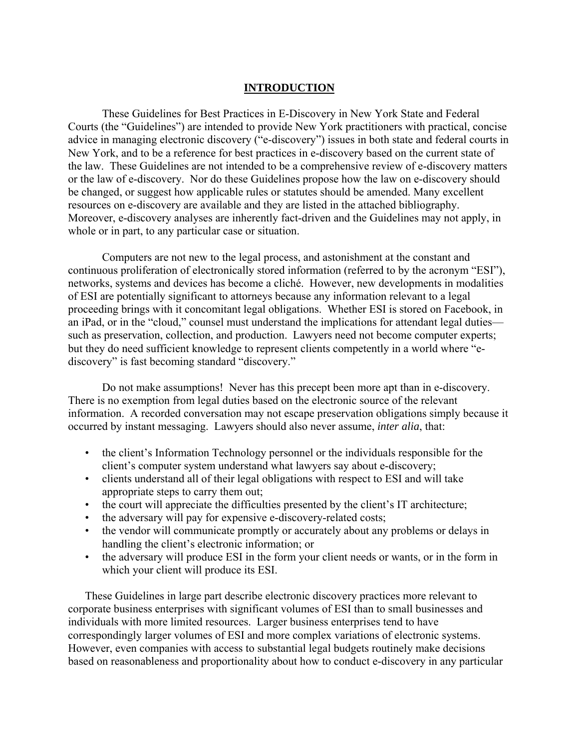### **INTRODUCTION**

These Guidelines for Best Practices in E-Discovery in New York State and Federal Courts (the "Guidelines") are intended to provide New York practitioners with practical, concise advice in managing electronic discovery ("e-discovery") issues in both state and federal courts in New York, and to be a reference for best practices in e-discovery based on the current state of the law. These Guidelines are not intended to be a comprehensive review of e-discovery matters or the law of e-discovery. Nor do these Guidelines propose how the law on e-discovery should be changed, or suggest how applicable rules or statutes should be amended. Many excellent resources on e-discovery are available and they are listed in the attached bibliography. Moreover, e-discovery analyses are inherently fact-driven and the Guidelines may not apply, in whole or in part, to any particular case or situation.

Computers are not new to the legal process, and astonishment at the constant and continuous proliferation of electronically stored information (referred to by the acronym "ESI"), networks, systems and devices has become a cliché. However, new developments in modalities of ESI are potentially significant to attorneys because any information relevant to a legal proceeding brings with it concomitant legal obligations. Whether ESI is stored on Facebook, in an iPad, or in the "cloud," counsel must understand the implications for attendant legal duties such as preservation, collection, and production. Lawyers need not become computer experts; but they do need sufficient knowledge to represent clients competently in a world where "ediscovery" is fast becoming standard "discovery."

Do not make assumptions! Never has this precept been more apt than in e-discovery. There is no exemption from legal duties based on the electronic source of the relevant information. A recorded conversation may not escape preservation obligations simply because it occurred by instant messaging. Lawyers should also never assume, *inter alia*, that:

- the client's Information Technology personnel or the individuals responsible for the client's computer system understand what lawyers say about e-discovery;
- clients understand all of their legal obligations with respect to ESI and will take appropriate steps to carry them out;
- the court will appreciate the difficulties presented by the client's IT architecture;
- the adversary will pay for expensive e-discovery-related costs;
- the vendor will communicate promptly or accurately about any problems or delays in handling the client's electronic information; or
- the adversary will produce ESI in the form your client needs or wants, or in the form in which your client will produce its ESI.

These Guidelines in large part describe electronic discovery practices more relevant to corporate business enterprises with significant volumes of ESI than to small businesses and individuals with more limited resources. Larger business enterprises tend to have correspondingly larger volumes of ESI and more complex variations of electronic systems. However, even companies with access to substantial legal budgets routinely make decisions based on reasonableness and proportionality about how to conduct e-discovery in any particular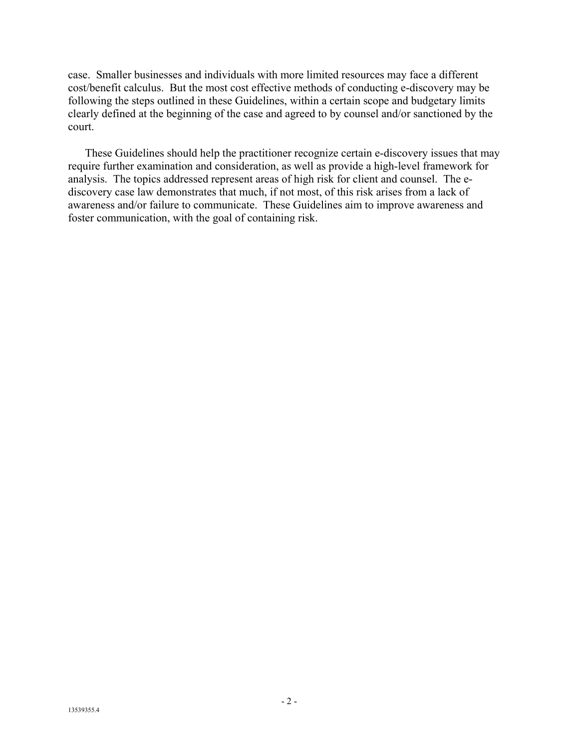case. Smaller businesses and individuals with more limited resources may face a different cost/benefit calculus. But the most cost effective methods of conducting e-discovery may be following the steps outlined in these Guidelines, within a certain scope and budgetary limits clearly defined at the beginning of the case and agreed to by counsel and/or sanctioned by the court.

These Guidelines should help the practitioner recognize certain e-discovery issues that may require further examination and consideration, as well as provide a high-level framework for analysis. The topics addressed represent areas of high risk for client and counsel. The ediscovery case law demonstrates that much, if not most, of this risk arises from a lack of awareness and/or failure to communicate. These Guidelines aim to improve awareness and foster communication, with the goal of containing risk.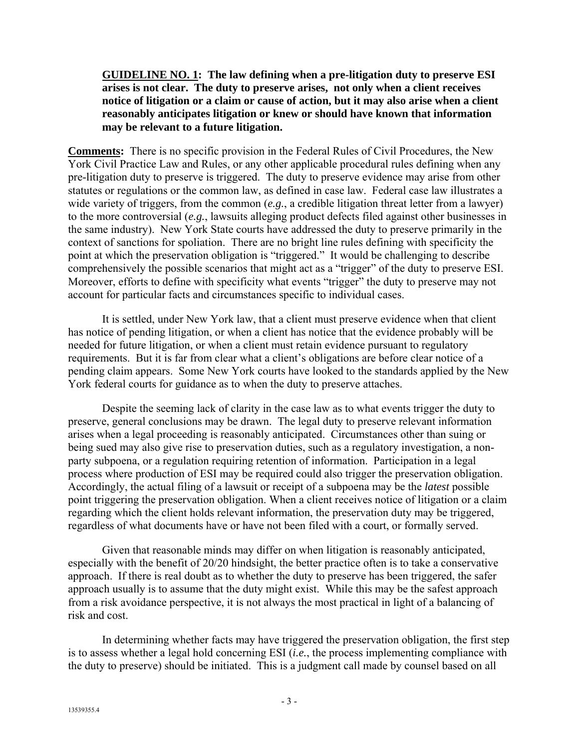**GUIDELINE NO. 1: The law defining when a pre-litigation duty to preserve ESI arises is not clear. The duty to preserve arises, not only when a client receives notice of litigation or a claim or cause of action, but it may also arise when a client reasonably anticipates litigation or knew or should have known that information may be relevant to a future litigation.**

**Comments:** There is no specific provision in the Federal Rules of Civil Procedures, the New York Civil Practice Law and Rules, or any other applicable procedural rules defining when any pre-litigation duty to preserve is triggered. The duty to preserve evidence may arise from other statutes or regulations or the common law, as defined in case law. Federal case law illustrates a wide variety of triggers, from the common (*e.g.*, a credible litigation threat letter from a lawyer) to the more controversial (*e.g.*, lawsuits alleging product defects filed against other businesses in the same industry). New York State courts have addressed the duty to preserve primarily in the context of sanctions for spoliation. There are no bright line rules defining with specificity the point at which the preservation obligation is "triggered." It would be challenging to describe comprehensively the possible scenarios that might act as a "trigger" of the duty to preserve ESI. Moreover, efforts to define with specificity what events "trigger" the duty to preserve may not account for particular facts and circumstances specific to individual cases.

It is settled, under New York law, that a client must preserve evidence when that client has notice of pending litigation, or when a client has notice that the evidence probably will be needed for future litigation, or when a client must retain evidence pursuant to regulatory requirements. But it is far from clear what a client's obligations are before clear notice of a pending claim appears. Some New York courts have looked to the standards applied by the New York federal courts for guidance as to when the duty to preserve attaches.

Despite the seeming lack of clarity in the case law as to what events trigger the duty to preserve, general conclusions may be drawn. The legal duty to preserve relevant information arises when a legal proceeding is reasonably anticipated. Circumstances other than suing or being sued may also give rise to preservation duties, such as a regulatory investigation, a nonparty subpoena, or a regulation requiring retention of information. Participation in a legal process where production of ESI may be required could also trigger the preservation obligation. Accordingly, the actual filing of a lawsuit or receipt of a subpoena may be the *latest* possible point triggering the preservation obligation. When a client receives notice of litigation or a claim regarding which the client holds relevant information, the preservation duty may be triggered, regardless of what documents have or have not been filed with a court, or formally served.

Given that reasonable minds may differ on when litigation is reasonably anticipated, especially with the benefit of 20/20 hindsight, the better practice often is to take a conservative approach. If there is real doubt as to whether the duty to preserve has been triggered, the safer approach usually is to assume that the duty might exist. While this may be the safest approach from a risk avoidance perspective, it is not always the most practical in light of a balancing of risk and cost.

In determining whether facts may have triggered the preservation obligation, the first step is to assess whether a legal hold concerning ESI (*i.e.*, the process implementing compliance with the duty to preserve) should be initiated. This is a judgment call made by counsel based on all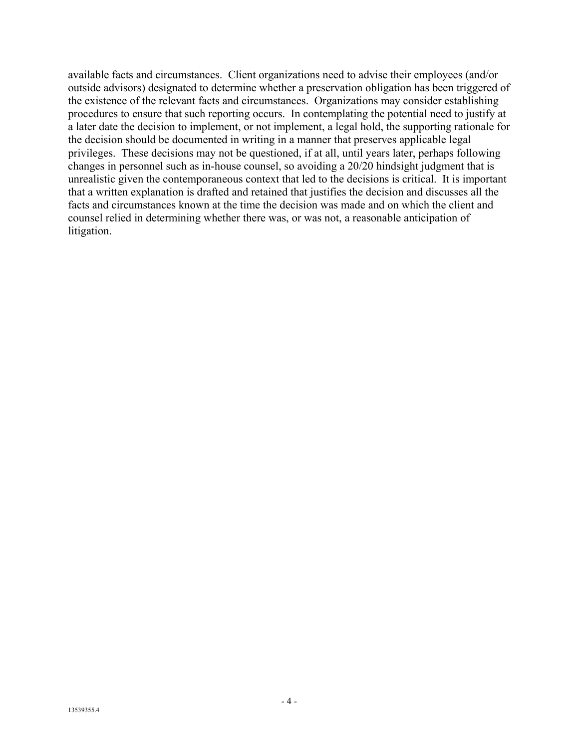available facts and circumstances. Client organizations need to advise their employees (and/or outside advisors) designated to determine whether a preservation obligation has been triggered of the existence of the relevant facts and circumstances. Organizations may consider establishing procedures to ensure that such reporting occurs. In contemplating the potential need to justify at a later date the decision to implement, or not implement, a legal hold, the supporting rationale for the decision should be documented in writing in a manner that preserves applicable legal privileges. These decisions may not be questioned, if at all, until years later, perhaps following changes in personnel such as in-house counsel, so avoiding a 20/20 hindsight judgment that is unrealistic given the contemporaneous context that led to the decisions is critical. It is important that a written explanation is drafted and retained that justifies the decision and discusses all the facts and circumstances known at the time the decision was made and on which the client and counsel relied in determining whether there was, or was not, a reasonable anticipation of litigation.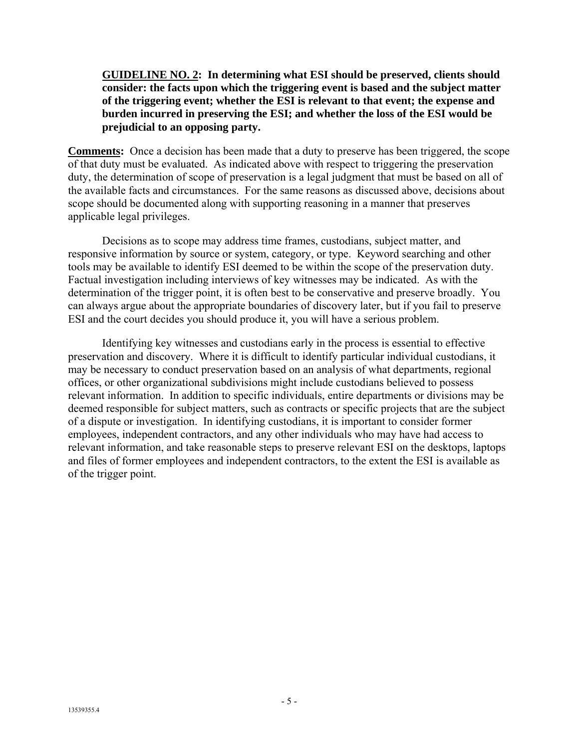### **GUIDELINE NO. 2: In determining what ESI should be preserved, clients should consider: the facts upon which the triggering event is based and the subject matter of the triggering event; whether the ESI is relevant to that event; the expense and burden incurred in preserving the ESI; and whether the loss of the ESI would be prejudicial to an opposing party.**

**Comments:** Once a decision has been made that a duty to preserve has been triggered, the scope of that duty must be evaluated. As indicated above with respect to triggering the preservation duty, the determination of scope of preservation is a legal judgment that must be based on all of the available facts and circumstances. For the same reasons as discussed above, decisions about scope should be documented along with supporting reasoning in a manner that preserves applicable legal privileges.

Decisions as to scope may address time frames, custodians, subject matter, and responsive information by source or system, category, or type. Keyword searching and other tools may be available to identify ESI deemed to be within the scope of the preservation duty. Factual investigation including interviews of key witnesses may be indicated. As with the determination of the trigger point, it is often best to be conservative and preserve broadly. You can always argue about the appropriate boundaries of discovery later, but if you fail to preserve ESI and the court decides you should produce it, you will have a serious problem.

Identifying key witnesses and custodians early in the process is essential to effective preservation and discovery. Where it is difficult to identify particular individual custodians, it may be necessary to conduct preservation based on an analysis of what departments, regional offices, or other organizational subdivisions might include custodians believed to possess relevant information. In addition to specific individuals, entire departments or divisions may be deemed responsible for subject matters, such as contracts or specific projects that are the subject of a dispute or investigation. In identifying custodians, it is important to consider former employees, independent contractors, and any other individuals who may have had access to relevant information, and take reasonable steps to preserve relevant ESI on the desktops, laptops and files of former employees and independent contractors, to the extent the ESI is available as of the trigger point.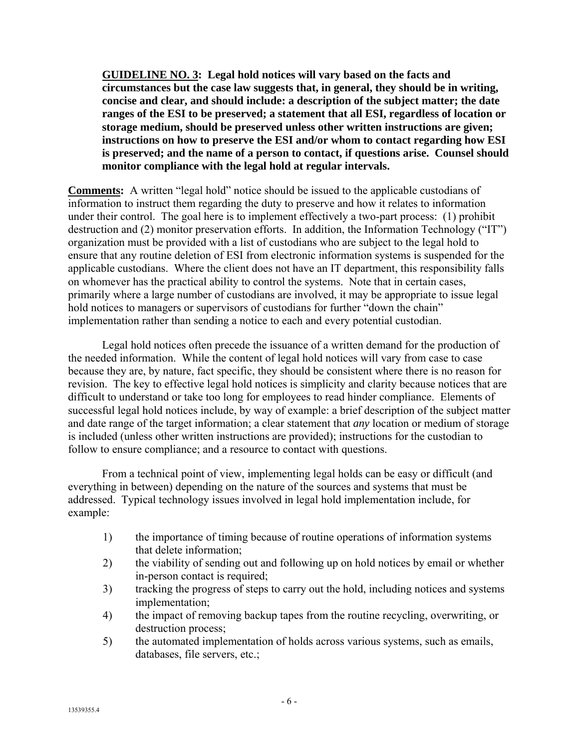**GUIDELINE NO. 3: Legal hold notices will vary based on the facts and circumstances but the case law suggests that, in general, they should be in writing, concise and clear, and should include: a description of the subject matter; the date ranges of the ESI to be preserved; a statement that all ESI, regardless of location or storage medium, should be preserved unless other written instructions are given; instructions on how to preserve the ESI and/or whom to contact regarding how ESI is preserved; and the name of a person to contact, if questions arise. Counsel should monitor compliance with the legal hold at regular intervals.**

**Comments:** A written "legal hold" notice should be issued to the applicable custodians of information to instruct them regarding the duty to preserve and how it relates to information under their control. The goal here is to implement effectively a two-part process: (1) prohibit destruction and (2) monitor preservation efforts. In addition, the Information Technology ("IT") organization must be provided with a list of custodians who are subject to the legal hold to ensure that any routine deletion of ESI from electronic information systems is suspended for the applicable custodians. Where the client does not have an IT department, this responsibility falls on whomever has the practical ability to control the systems. Note that in certain cases, primarily where a large number of custodians are involved, it may be appropriate to issue legal hold notices to managers or supervisors of custodians for further "down the chain" implementation rather than sending a notice to each and every potential custodian.

Legal hold notices often precede the issuance of a written demand for the production of the needed information. While the content of legal hold notices will vary from case to case because they are, by nature, fact specific, they should be consistent where there is no reason for revision. The key to effective legal hold notices is simplicity and clarity because notices that are difficult to understand or take too long for employees to read hinder compliance. Elements of successful legal hold notices include, by way of example: a brief description of the subject matter and date range of the target information; a clear statement that *any* location or medium of storage is included (unless other written instructions are provided); instructions for the custodian to follow to ensure compliance; and a resource to contact with questions.

From a technical point of view, implementing legal holds can be easy or difficult (and everything in between) depending on the nature of the sources and systems that must be addressed. Typical technology issues involved in legal hold implementation include, for example:

- 1) the importance of timing because of routine operations of information systems that delete information;
- 2) the viability of sending out and following up on hold notices by email or whether in-person contact is required;
- 3) tracking the progress of steps to carry out the hold, including notices and systems implementation;
- 4) the impact of removing backup tapes from the routine recycling, overwriting, or destruction process;
- 5) the automated implementation of holds across various systems, such as emails, databases, file servers, etc.;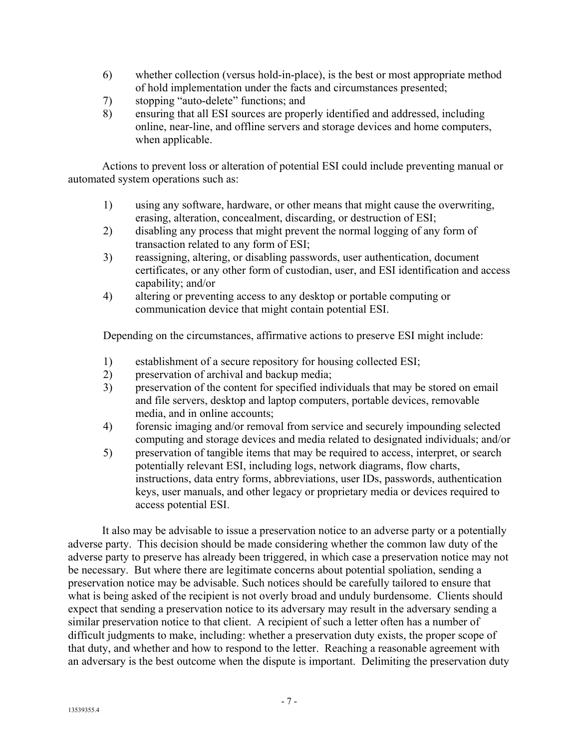- 6) whether collection (versus hold-in-place), is the best or most appropriate method of hold implementation under the facts and circumstances presented;
- 7) stopping "auto-delete" functions; and
- 8) ensuring that all ESI sources are properly identified and addressed, including online, near-line, and offline servers and storage devices and home computers, when applicable.

Actions to prevent loss or alteration of potential ESI could include preventing manual or automated system operations such as:

- 1) using any software, hardware, or other means that might cause the overwriting, erasing, alteration, concealment, discarding, or destruction of ESI;
- 2) disabling any process that might prevent the normal logging of any form of transaction related to any form of ESI;
- 3) reassigning, altering, or disabling passwords, user authentication, document certificates, or any other form of custodian, user, and ESI identification and access capability; and/or
- 4) altering or preventing access to any desktop or portable computing or communication device that might contain potential ESI.

Depending on the circumstances, affirmative actions to preserve ESI might include:

- 1) establishment of a secure repository for housing collected ESI;
- 2) preservation of archival and backup media;
- 3) preservation of the content for specified individuals that may be stored on email and file servers, desktop and laptop computers, portable devices, removable media, and in online accounts;
- 4) forensic imaging and/or removal from service and securely impounding selected computing and storage devices and media related to designated individuals; and/or
- 5) preservation of tangible items that may be required to access, interpret, or search potentially relevant ESI, including logs, network diagrams, flow charts, instructions, data entry forms, abbreviations, user IDs, passwords, authentication keys, user manuals, and other legacy or proprietary media or devices required to access potential ESI.

It also may be advisable to issue a preservation notice to an adverse party or a potentially adverse party. This decision should be made considering whether the common law duty of the adverse party to preserve has already been triggered, in which case a preservation notice may not be necessary. But where there are legitimate concerns about potential spoliation, sending a preservation notice may be advisable. Such notices should be carefully tailored to ensure that what is being asked of the recipient is not overly broad and unduly burdensome. Clients should expect that sending a preservation notice to its adversary may result in the adversary sending a similar preservation notice to that client. A recipient of such a letter often has a number of difficult judgments to make, including: whether a preservation duty exists, the proper scope of that duty, and whether and how to respond to the letter. Reaching a reasonable agreement with an adversary is the best outcome when the dispute is important. Delimiting the preservation duty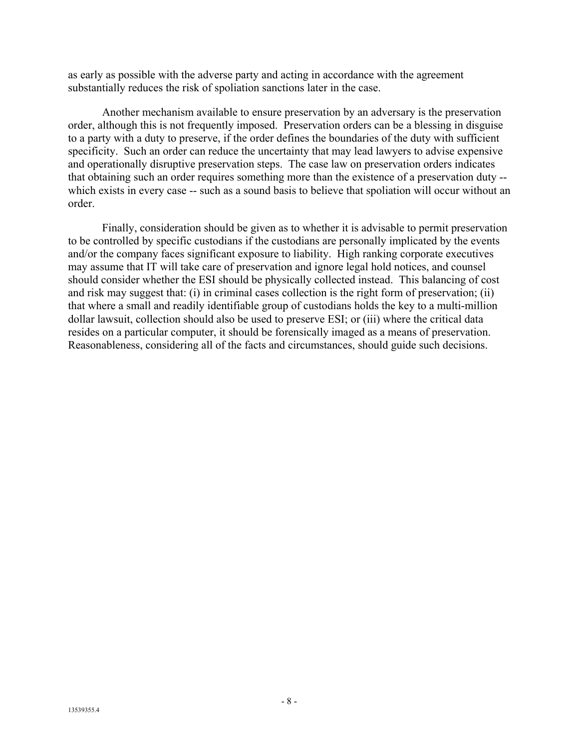as early as possible with the adverse party and acting in accordance with the agreement substantially reduces the risk of spoliation sanctions later in the case.

Another mechanism available to ensure preservation by an adversary is the preservation order, although this is not frequently imposed. Preservation orders can be a blessing in disguise to a party with a duty to preserve, if the order defines the boundaries of the duty with sufficient specificity. Such an order can reduce the uncertainty that may lead lawyers to advise expensive and operationally disruptive preservation steps. The case law on preservation orders indicates that obtaining such an order requires something more than the existence of a preservation duty - which exists in every case -- such as a sound basis to believe that spoliation will occur without an order.

Finally, consideration should be given as to whether it is advisable to permit preservation to be controlled by specific custodians if the custodians are personally implicated by the events and/or the company faces significant exposure to liability. High ranking corporate executives may assume that IT will take care of preservation and ignore legal hold notices, and counsel should consider whether the ESI should be physically collected instead. This balancing of cost and risk may suggest that: (i) in criminal cases collection is the right form of preservation; (ii) that where a small and readily identifiable group of custodians holds the key to a multi-million dollar lawsuit, collection should also be used to preserve ESI; or (iii) where the critical data resides on a particular computer, it should be forensically imaged as a means of preservation. Reasonableness, considering all of the facts and circumstances, should guide such decisions.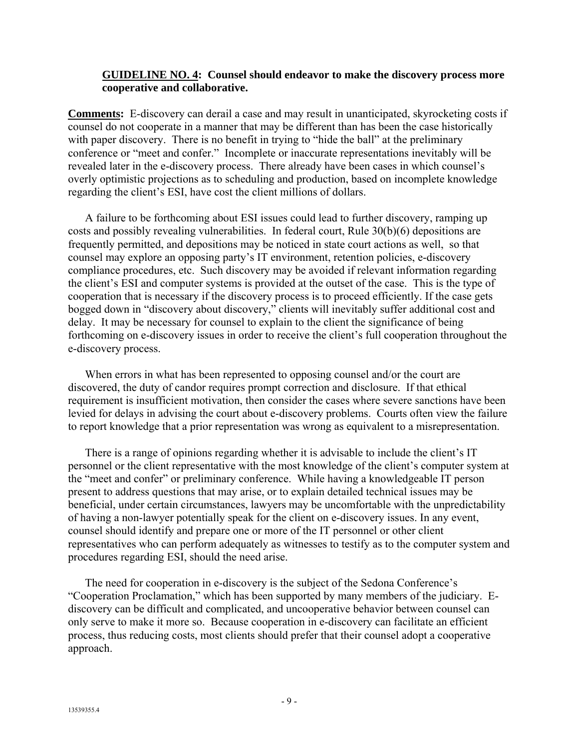### **GUIDELINE NO. 4: Counsel should endeavor to make the discovery process more cooperative and collaborative.**

**Comments:** E-discovery can derail a case and may result in unanticipated, skyrocketing costs if counsel do not cooperate in a manner that may be different than has been the case historically with paper discovery. There is no benefit in trying to "hide the ball" at the preliminary conference or "meet and confer." Incomplete or inaccurate representations inevitably will be revealed later in the e-discovery process. There already have been cases in which counsel's overly optimistic projections as to scheduling and production, based on incomplete knowledge regarding the client's ESI, have cost the client millions of dollars.

A failure to be forthcoming about ESI issues could lead to further discovery, ramping up costs and possibly revealing vulnerabilities. In federal court, Rule 30(b)(6) depositions are frequently permitted, and depositions may be noticed in state court actions as well, so that counsel may explore an opposing party's IT environment, retention policies, e-discovery compliance procedures, etc. Such discovery may be avoided if relevant information regarding the client's ESI and computer systems is provided at the outset of the case. This is the type of cooperation that is necessary if the discovery process is to proceed efficiently. If the case gets bogged down in "discovery about discovery," clients will inevitably suffer additional cost and delay. It may be necessary for counsel to explain to the client the significance of being forthcoming on e-discovery issues in order to receive the client's full cooperation throughout the e-discovery process.

When errors in what has been represented to opposing counsel and/or the court are discovered, the duty of candor requires prompt correction and disclosure. If that ethical requirement is insufficient motivation, then consider the cases where severe sanctions have been levied for delays in advising the court about e-discovery problems. Courts often view the failure to report knowledge that a prior representation was wrong as equivalent to a misrepresentation.

There is a range of opinions regarding whether it is advisable to include the client's IT personnel or the client representative with the most knowledge of the client's computer system at the "meet and confer" or preliminary conference. While having a knowledgeable IT person present to address questions that may arise, or to explain detailed technical issues may be beneficial, under certain circumstances, lawyers may be uncomfortable with the unpredictability of having a non-lawyer potentially speak for the client on e-discovery issues. In any event, counsel should identify and prepare one or more of the IT personnel or other client representatives who can perform adequately as witnesses to testify as to the computer system and procedures regarding ESI, should the need arise.

The need for cooperation in e-discovery is the subject of the Sedona Conference's "Cooperation Proclamation," which has been supported by many members of the judiciary. Ediscovery can be difficult and complicated, and uncooperative behavior between counsel can only serve to make it more so. Because cooperation in e-discovery can facilitate an efficient process, thus reducing costs, most clients should prefer that their counsel adopt a cooperative approach.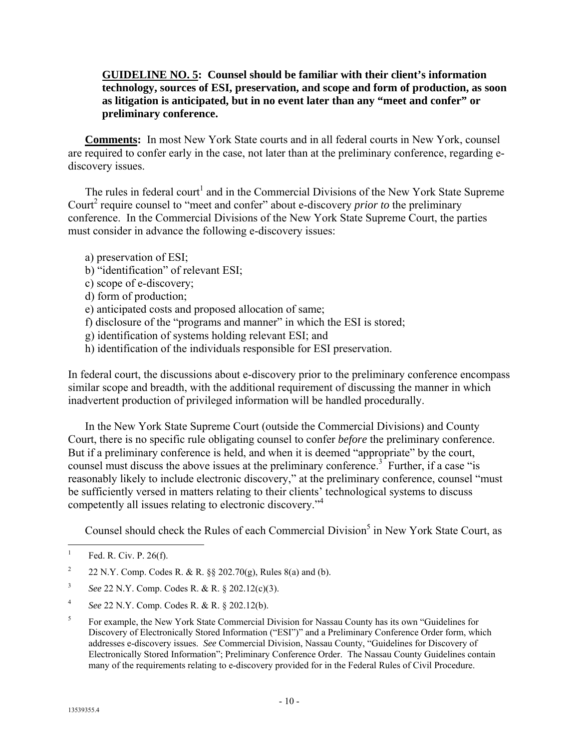**GUIDELINE NO. 5: Counsel should be familiar with their client's information technology, sources of ESI, preservation, and scope and form of production, as soon as litigation is anticipated, but in no event later than any "meet and confer" or preliminary conference.**

**Comments:** In most New York State courts and in all federal courts in New York, counsel are required to confer early in the case, not later than at the preliminary conference, regarding ediscovery issues.

The rules in federal court<sup>1</sup> and in the Commercial Divisions of the New York State Supreme Court<sup>2</sup> require counsel to "meet and confer" about e-discovery *prior to* the preliminary conference. In the Commercial Divisions of the New York State Supreme Court, the parties must consider in advance the following e-discovery issues:

a) preservation of ESI;

- b) "identification" of relevant ESI;
- c) scope of e-discovery;
- d) form of production;

e) anticipated costs and proposed allocation of same;

- f) disclosure of the "programs and manner" in which the ESI is stored;
- g) identification of systems holding relevant ESI; and
- h) identification of the individuals responsible for ESI preservation.

In federal court, the discussions about e-discovery prior to the preliminary conference encompass similar scope and breadth, with the additional requirement of discussing the manner in which inadvertent production of privileged information will be handled procedurally.

In the New York State Supreme Court (outside the Commercial Divisions) and County Court, there is no specific rule obligating counsel to confer *before* the preliminary conference. But if a preliminary conference is held, and when it is deemed "appropriate" by the court, counsel must discuss the above issues at the preliminary conference.<sup>3</sup> Further, if a case "is reasonably likely to include electronic discovery," at the preliminary conference, counsel "must be sufficiently versed in matters relating to their clients' technological systems to discuss competently all issues relating to electronic discovery."4

Counsel should check the Rules of each Commercial Division<sup>5</sup> in New York State Court, as

 $\frac{1}{1}$ Fed. R. Civ. P. 26(f).

<sup>2</sup> 22 N.Y. Comp. Codes R. & R. §§ 202.70(g), Rules 8(a) and (b).

<sup>3</sup> *See* 22 N.Y. Comp. Codes R. & R. § 202.12(c)(3).

<sup>4</sup> *See* 22 N.Y. Comp. Codes R. & R. § 202.12(b).

<sup>5</sup> For example, the New York State Commercial Division for Nassau County has its own "Guidelines for Discovery of Electronically Stored Information ("ESI")" and a Preliminary Conference Order form, which addresses e-discovery issues. *See* Commercial Division, Nassau County, "Guidelines for Discovery of Electronically Stored Information"; Preliminary Conference Order. The Nassau County Guidelines contain many of the requirements relating to e-discovery provided for in the Federal Rules of Civil Procedure.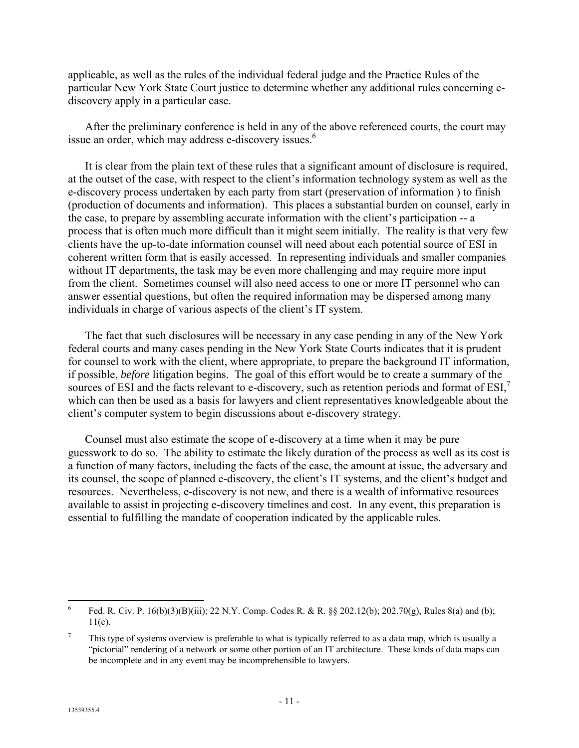applicable, as well as the rules of the individual federal judge and the Practice Rules of the particular New York State Court justice to determine whether any additional rules concerning ediscovery apply in a particular case.

After the preliminary conference is held in any of the above referenced courts, the court may issue an order, which may address e-discovery issues.<sup>6</sup>

It is clear from the plain text of these rules that a significant amount of disclosure is required, at the outset of the case, with respect to the client's information technology system as well as the e-discovery process undertaken by each party from start (preservation of information ) to finish (production of documents and information). This places a substantial burden on counsel, early in the case, to prepare by assembling accurate information with the client's participation -- a process that is often much more difficult than it might seem initially. The reality is that very few clients have the up-to-date information counsel will need about each potential source of ESI in coherent written form that is easily accessed. In representing individuals and smaller companies without IT departments, the task may be even more challenging and may require more input from the client. Sometimes counsel will also need access to one or more IT personnel who can answer essential questions, but often the required information may be dispersed among many individuals in charge of various aspects of the client's IT system.

The fact that such disclosures will be necessary in any case pending in any of the New York federal courts and many cases pending in the New York State Courts indicates that it is prudent for counsel to work with the client, where appropriate, to prepare the background IT information, if possible, *before* litigation begins. The goal of this effort would be to create a summary of the sources of ESI and the facts relevant to e-discovery, such as retention periods and format of ESI,<sup>7</sup> which can then be used as a basis for lawyers and client representatives knowledgeable about the client's computer system to begin discussions about e-discovery strategy.

Counsel must also estimate the scope of e-discovery at a time when it may be pure guesswork to do so. The ability to estimate the likely duration of the process as well as its cost is a function of many factors, including the facts of the case, the amount at issue, the adversary and its counsel, the scope of planned e-discovery, the client's IT systems, and the client's budget and resources. Nevertheless, e-discovery is not new, and there is a wealth of informative resources available to assist in projecting e-discovery timelines and cost. In any event, this preparation is essential to fulfilling the mandate of cooperation indicated by the applicable rules.

 6 Fed. R. Civ. P. 16(b)(3)(B)(iii); 22 N.Y. Comp. Codes R. & R. §§ 202.12(b); 202.70(g), Rules 8(a) and (b);  $11(c)$ .

<sup>7</sup> This type of systems overview is preferable to what is typically referred to as a data map, which is usually a "pictorial" rendering of a network or some other portion of an IT architecture. These kinds of data maps can be incomplete and in any event may be incomprehensible to lawyers.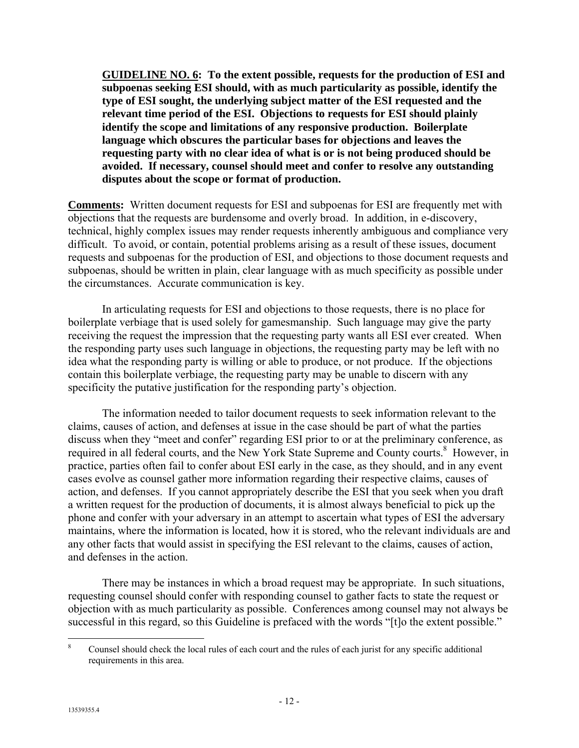**GUIDELINE NO. 6: To the extent possible, requests for the production of ESI and subpoenas seeking ESI should, with as much particularity as possible, identify the type of ESI sought, the underlying subject matter of the ESI requested and the relevant time period of the ESI. Objections to requests for ESI should plainly identify the scope and limitations of any responsive production. Boilerplate language which obscures the particular bases for objections and leaves the requesting party with no clear idea of what is or is not being produced should be avoided. If necessary, counsel should meet and confer to resolve any outstanding disputes about the scope or format of production.** 

**Comments:** Written document requests for ESI and subpoenas for ESI are frequently met with objections that the requests are burdensome and overly broad. In addition, in e-discovery, technical, highly complex issues may render requests inherently ambiguous and compliance very difficult. To avoid, or contain, potential problems arising as a result of these issues, document requests and subpoenas for the production of ESI, and objections to those document requests and subpoenas, should be written in plain, clear language with as much specificity as possible under the circumstances. Accurate communication is key.

In articulating requests for ESI and objections to those requests, there is no place for boilerplate verbiage that is used solely for gamesmanship. Such language may give the party receiving the request the impression that the requesting party wants all ESI ever created. When the responding party uses such language in objections, the requesting party may be left with no idea what the responding party is willing or able to produce, or not produce. If the objections contain this boilerplate verbiage, the requesting party may be unable to discern with any specificity the putative justification for the responding party's objection.

The information needed to tailor document requests to seek information relevant to the claims, causes of action, and defenses at issue in the case should be part of what the parties discuss when they "meet and confer" regarding ESI prior to or at the preliminary conference, as required in all federal courts, and the New York State Supreme and County courts.<sup>8</sup> However, in practice, parties often fail to confer about ESI early in the case, as they should, and in any event cases evolve as counsel gather more information regarding their respective claims, causes of action, and defenses. If you cannot appropriately describe the ESI that you seek when you draft a written request for the production of documents, it is almost always beneficial to pick up the phone and confer with your adversary in an attempt to ascertain what types of ESI the adversary maintains, where the information is located, how it is stored, who the relevant individuals are and any other facts that would assist in specifying the ESI relevant to the claims, causes of action, and defenses in the action.

There may be instances in which a broad request may be appropriate. In such situations, requesting counsel should confer with responding counsel to gather facts to state the request or objection with as much particularity as possible. Conferences among counsel may not always be successful in this regard, so this Guideline is prefaced with the words "[t]o the extent possible."

 $\frac{1}{8}$  Counsel should check the local rules of each court and the rules of each jurist for any specific additional requirements in this area.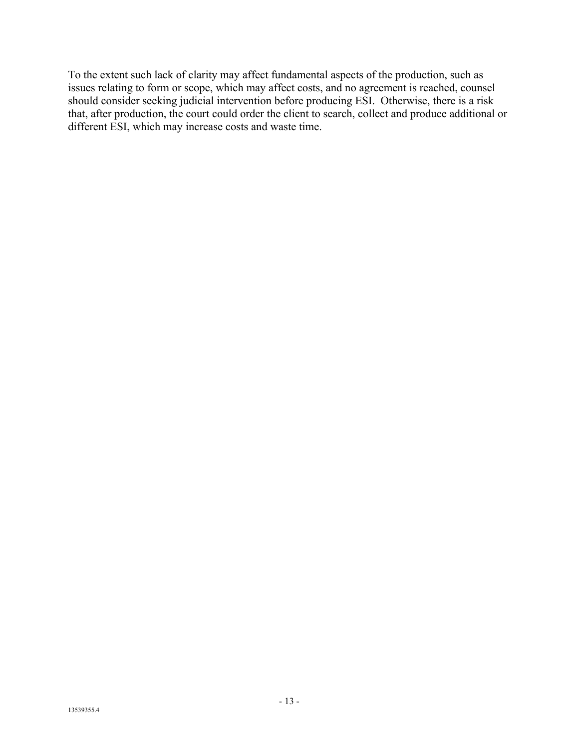To the extent such lack of clarity may affect fundamental aspects of the production, such as issues relating to form or scope, which may affect costs, and no agreement is reached, counsel should consider seeking judicial intervention before producing ESI. Otherwise, there is a risk that, after production, the court could order the client to search, collect and produce additional or different ESI, which may increase costs and waste time.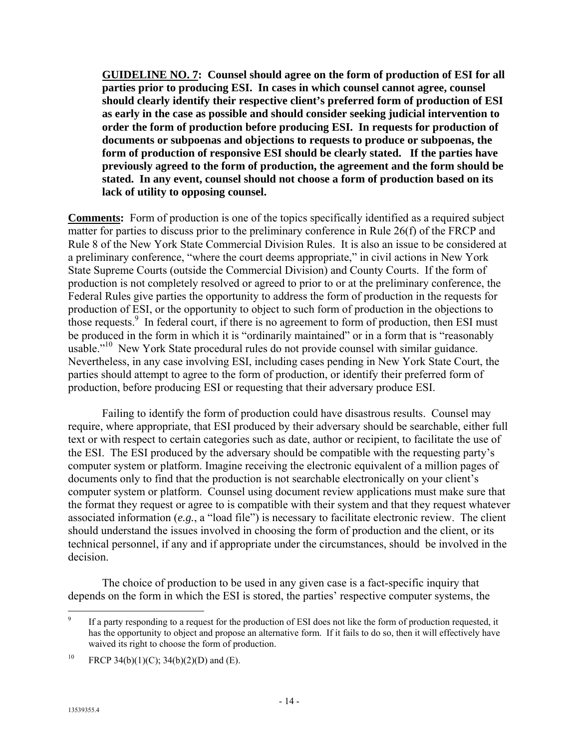**GUIDELINE NO. 7: Counsel should agree on the form of production of ESI for all parties prior to producing ESI. In cases in which counsel cannot agree, counsel should clearly identify their respective client's preferred form of production of ESI as early in the case as possible and should consider seeking judicial intervention to order the form of production before producing ESI. In requests for production of documents or subpoenas and objections to requests to produce or subpoenas, the form of production of responsive ESI should be clearly stated. If the parties have previously agreed to the form of production, the agreement and the form should be stated. In any event, counsel should not choose a form of production based on its lack of utility to opposing counsel.**

**Comments:** Form of production is one of the topics specifically identified as a required subject matter for parties to discuss prior to the preliminary conference in Rule 26(f) of the FRCP and Rule 8 of the New York State Commercial Division Rules. It is also an issue to be considered at a preliminary conference, "where the court deems appropriate," in civil actions in New York State Supreme Courts (outside the Commercial Division) and County Courts. If the form of production is not completely resolved or agreed to prior to or at the preliminary conference, the Federal Rules give parties the opportunity to address the form of production in the requests for production of ESI, or the opportunity to object to such form of production in the objections to those requests.<sup>9</sup> In federal court, if there is no agreement to form of production, then ESI must be produced in the form in which it is "ordinarily maintained" or in a form that is "reasonably usable."<sup>10</sup> New York State procedural rules do not provide counsel with similar guidance. Nevertheless, in any case involving ESI, including cases pending in New York State Court, the parties should attempt to agree to the form of production, or identify their preferred form of production, before producing ESI or requesting that their adversary produce ESI.

Failing to identify the form of production could have disastrous results. Counsel may require, where appropriate, that ESI produced by their adversary should be searchable, either full text or with respect to certain categories such as date, author or recipient, to facilitate the use of the ESI. The ESI produced by the adversary should be compatible with the requesting party's computer system or platform. Imagine receiving the electronic equivalent of a million pages of documents only to find that the production is not searchable electronically on your client's computer system or platform. Counsel using document review applications must make sure that the format they request or agree to is compatible with their system and that they request whatever associated information (*e.g.*, a "load file") is necessary to facilitate electronic review. The client should understand the issues involved in choosing the form of production and the client, or its technical personnel, if any and if appropriate under the circumstances, should be involved in the decision.

The choice of production to be used in any given case is a fact-specific inquiry that depends on the form in which the ESI is stored, the parties' respective computer systems, the

<sup>-&</sup>lt;br>9 If a party responding to a request for the production of ESI does not like the form of production requested, it has the opportunity to object and propose an alternative form. If it fails to do so, then it will effectively have waived its right to choose the form of production.

<sup>&</sup>lt;sup>10</sup> FRCP 34(b)(1)(C); 34(b)(2)(D) and (E).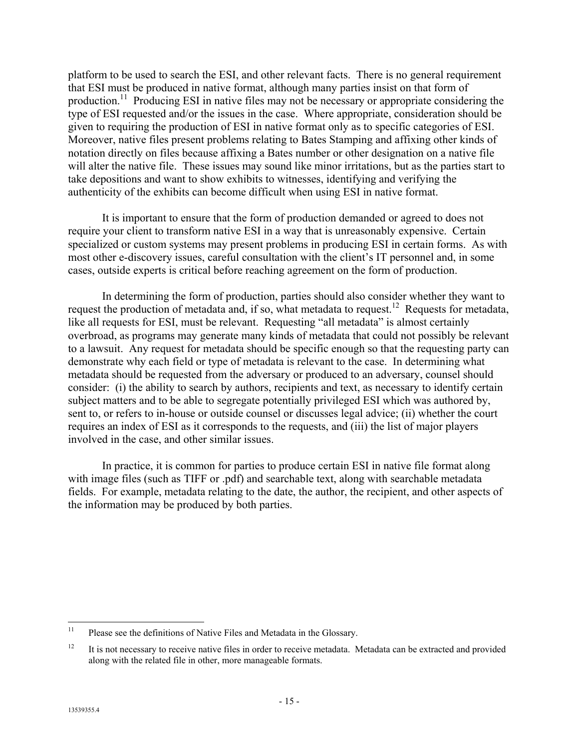platform to be used to search the ESI, and other relevant facts. There is no general requirement that ESI must be produced in native format, although many parties insist on that form of production.<sup>11</sup> Producing ESI in native files may not be necessary or appropriate considering the type of ESI requested and/or the issues in the case. Where appropriate, consideration should be given to requiring the production of ESI in native format only as to specific categories of ESI. Moreover, native files present problems relating to Bates Stamping and affixing other kinds of notation directly on files because affixing a Bates number or other designation on a native file will alter the native file. These issues may sound like minor irritations, but as the parties start to take depositions and want to show exhibits to witnesses, identifying and verifying the authenticity of the exhibits can become difficult when using ESI in native format.

It is important to ensure that the form of production demanded or agreed to does not require your client to transform native ESI in a way that is unreasonably expensive. Certain specialized or custom systems may present problems in producing ESI in certain forms. As with most other e-discovery issues, careful consultation with the client's IT personnel and, in some cases, outside experts is critical before reaching agreement on the form of production.

In determining the form of production, parties should also consider whether they want to request the production of metadata and, if so, what metadata to request.12 Requests for metadata, like all requests for ESI, must be relevant. Requesting "all metadata" is almost certainly overbroad, as programs may generate many kinds of metadata that could not possibly be relevant to a lawsuit. Any request for metadata should be specific enough so that the requesting party can demonstrate why each field or type of metadata is relevant to the case. In determining what metadata should be requested from the adversary or produced to an adversary, counsel should consider: (i) the ability to search by authors, recipients and text, as necessary to identify certain subject matters and to be able to segregate potentially privileged ESI which was authored by, sent to, or refers to in-house or outside counsel or discusses legal advice; (ii) whether the court requires an index of ESI as it corresponds to the requests, and (iii) the list of major players involved in the case, and other similar issues.

In practice, it is common for parties to produce certain ESI in native file format along with image files (such as TIFF or .pdf) and searchable text, along with searchable metadata fields. For example, metadata relating to the date, the author, the recipient, and other aspects of the information may be produced by both parties.

 $11$ Please see the definitions of Native Files and Metadata in the Glossary.

<sup>&</sup>lt;sup>12</sup> It is not necessary to receive native files in order to receive metadata. Metadata can be extracted and provided along with the related file in other, more manageable formats.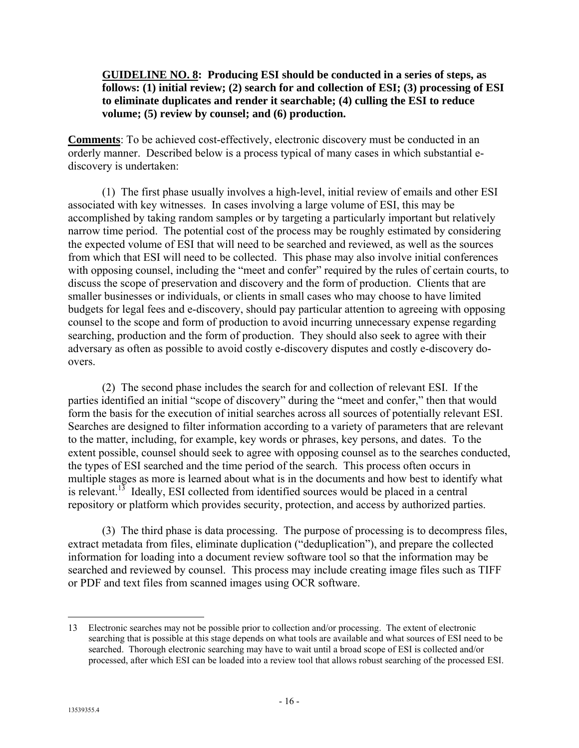### **GUIDELINE NO. 8: Producing ESI should be conducted in a series of steps, as follows: (1) initial review; (2) search for and collection of ESI; (3) processing of ESI to eliminate duplicates and render it searchable; (4) culling the ESI to reduce volume; (5) review by counsel; and (6) production.**

**Comments**: To be achieved cost-effectively, electronic discovery must be conducted in an orderly manner. Described below is a process typical of many cases in which substantial ediscovery is undertaken:

(1) The first phase usually involves a high-level, initial review of emails and other ESI associated with key witnesses. In cases involving a large volume of ESI, this may be accomplished by taking random samples or by targeting a particularly important but relatively narrow time period. The potential cost of the process may be roughly estimated by considering the expected volume of ESI that will need to be searched and reviewed, as well as the sources from which that ESI will need to be collected. This phase may also involve initial conferences with opposing counsel, including the "meet and confer" required by the rules of certain courts, to discuss the scope of preservation and discovery and the form of production. Clients that are smaller businesses or individuals, or clients in small cases who may choose to have limited budgets for legal fees and e-discovery, should pay particular attention to agreeing with opposing counsel to the scope and form of production to avoid incurring unnecessary expense regarding searching, production and the form of production. They should also seek to agree with their adversary as often as possible to avoid costly e-discovery disputes and costly e-discovery doovers.

(2) The second phase includes the search for and collection of relevant ESI. If the parties identified an initial "scope of discovery" during the "meet and confer," then that would form the basis for the execution of initial searches across all sources of potentially relevant ESI. Searches are designed to filter information according to a variety of parameters that are relevant to the matter, including, for example, key words or phrases, key persons, and dates. To the extent possible, counsel should seek to agree with opposing counsel as to the searches conducted, the types of ESI searched and the time period of the search. This process often occurs in multiple stages as more is learned about what is in the documents and how best to identify what is relevant.<sup>13</sup> Ideally, ESI collected from identified sources would be placed in a central repository or platform which provides security, protection, and access by authorized parties.

(3) The third phase is data processing. The purpose of processing is to decompress files, extract metadata from files, eliminate duplication ("deduplication"), and prepare the collected information for loading into a document review software tool so that the information may be searched and reviewed by counsel. This process may include creating image files such as TIFF or PDF and text files from scanned images using OCR software.

 $\overline{a}$ 

<sup>13</sup> Electronic searches may not be possible prior to collection and/or processing. The extent of electronic searching that is possible at this stage depends on what tools are available and what sources of ESI need to be searched. Thorough electronic searching may have to wait until a broad scope of ESI is collected and/or processed, after which ESI can be loaded into a review tool that allows robust searching of the processed ESI.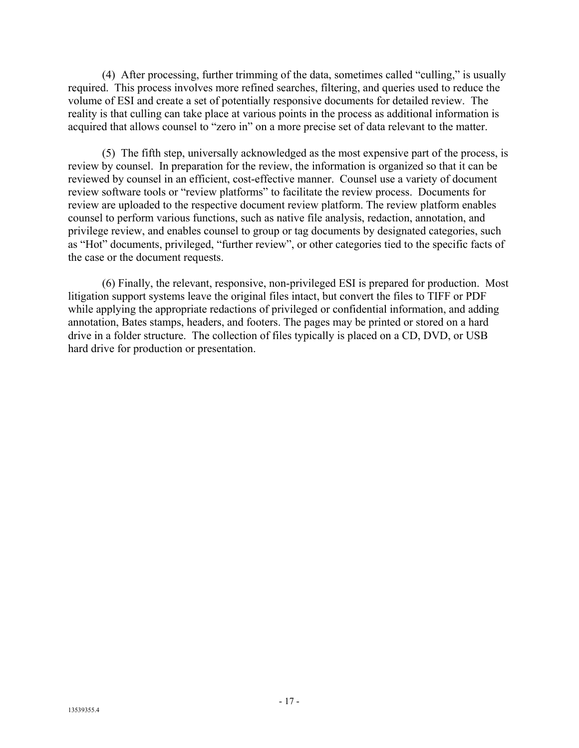(4) After processing, further trimming of the data, sometimes called "culling," is usually required. This process involves more refined searches, filtering, and queries used to reduce the volume of ESI and create a set of potentially responsive documents for detailed review. The reality is that culling can take place at various points in the process as additional information is acquired that allows counsel to "zero in" on a more precise set of data relevant to the matter.

(5) The fifth step, universally acknowledged as the most expensive part of the process, is review by counsel. In preparation for the review, the information is organized so that it can be reviewed by counsel in an efficient, cost-effective manner. Counsel use a variety of document review software tools or "review platforms" to facilitate the review process. Documents for review are uploaded to the respective document review platform. The review platform enables counsel to perform various functions, such as native file analysis, redaction, annotation, and privilege review, and enables counsel to group or tag documents by designated categories, such as "Hot" documents, privileged, "further review", or other categories tied to the specific facts of the case or the document requests.

(6) Finally, the relevant, responsive, non-privileged ESI is prepared for production. Most litigation support systems leave the original files intact, but convert the files to TIFF or PDF while applying the appropriate redactions of privileged or confidential information, and adding annotation, Bates stamps, headers, and footers. The pages may be printed or stored on a hard drive in a folder structure. The collection of files typically is placed on a CD, DVD, or USB hard drive for production or presentation.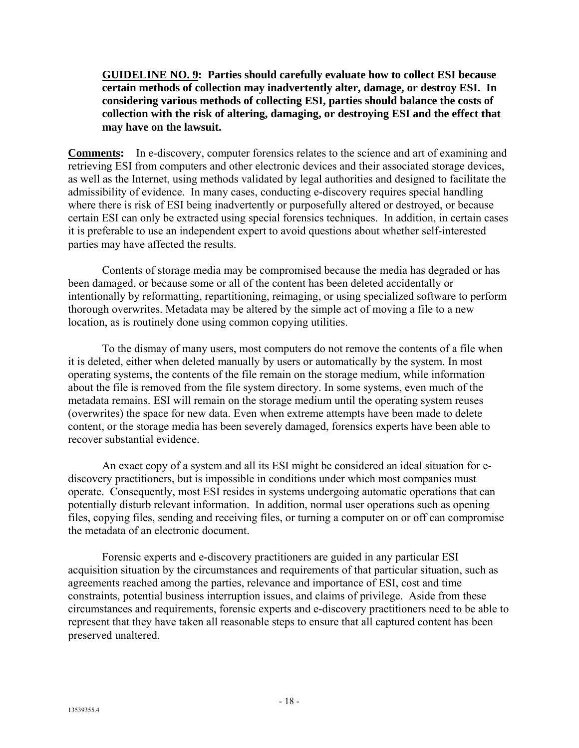**GUIDELINE NO. 9: Parties should carefully evaluate how to collect ESI because certain methods of collection may inadvertently alter, damage, or destroy ESI. In considering various methods of collecting ESI, parties should balance the costs of collection with the risk of altering, damaging, or destroying ESI and the effect that may have on the lawsuit.**

**Comments:** In e-discovery, computer forensics relates to the science and art of examining and retrieving ESI from computers and other electronic devices and their associated storage devices, as well as the Internet, using methods validated by legal authorities and designed to facilitate the admissibility of evidence. In many cases, conducting e-discovery requires special handling where there is risk of ESI being inadvertently or purposefully altered or destroyed, or because certain ESI can only be extracted using special forensics techniques. In addition, in certain cases it is preferable to use an independent expert to avoid questions about whether self-interested parties may have affected the results.

Contents of storage media may be compromised because the media has degraded or has been damaged, or because some or all of the content has been deleted accidentally or intentionally by reformatting, repartitioning, reimaging, or using specialized software to perform thorough overwrites. Metadata may be altered by the simple act of moving a file to a new location, as is routinely done using common copying utilities.

To the dismay of many users, most computers do not remove the contents of a file when it is deleted, either when deleted manually by users or automatically by the system. In most operating systems, the contents of the file remain on the storage medium, while information about the file is removed from the file system directory. In some systems, even much of the metadata remains. ESI will remain on the storage medium until the operating system reuses (overwrites) the space for new data. Even when extreme attempts have been made to delete content, or the storage media has been severely damaged, forensics experts have been able to recover substantial evidence.

An exact copy of a system and all its ESI might be considered an ideal situation for ediscovery practitioners, but is impossible in conditions under which most companies must operate. Consequently, most ESI resides in systems undergoing automatic operations that can potentially disturb relevant information. In addition, normal user operations such as opening files, copying files, sending and receiving files, or turning a computer on or off can compromise the metadata of an electronic document.

Forensic experts and e-discovery practitioners are guided in any particular ESI acquisition situation by the circumstances and requirements of that particular situation, such as agreements reached among the parties, relevance and importance of ESI, cost and time constraints, potential business interruption issues, and claims of privilege. Aside from these circumstances and requirements, forensic experts and e-discovery practitioners need to be able to represent that they have taken all reasonable steps to ensure that all captured content has been preserved unaltered.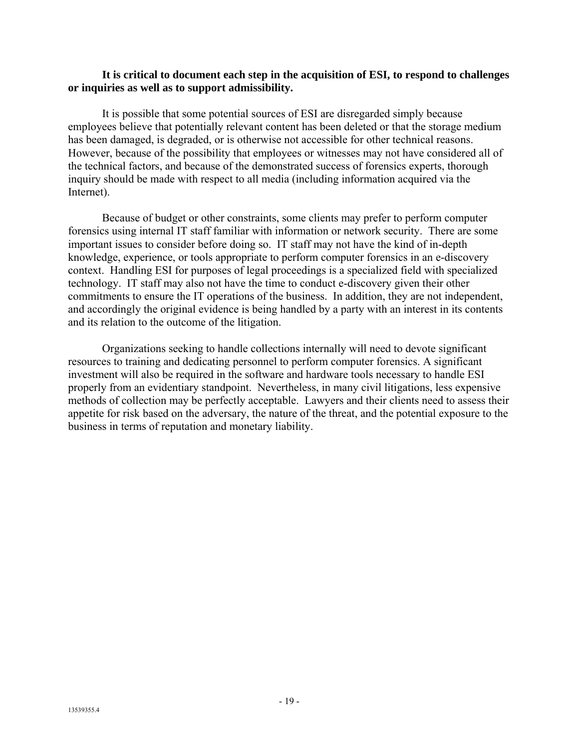### **It is critical to document each step in the acquisition of ESI, to respond to challenges or inquiries as well as to support admissibility.**

It is possible that some potential sources of ESI are disregarded simply because employees believe that potentially relevant content has been deleted or that the storage medium has been damaged, is degraded, or is otherwise not accessible for other technical reasons. However, because of the possibility that employees or witnesses may not have considered all of the technical factors, and because of the demonstrated success of forensics experts, thorough inquiry should be made with respect to all media (including information acquired via the Internet).

Because of budget or other constraints, some clients may prefer to perform computer forensics using internal IT staff familiar with information or network security. There are some important issues to consider before doing so. IT staff may not have the kind of in-depth knowledge, experience, or tools appropriate to perform computer forensics in an e-discovery context. Handling ESI for purposes of legal proceedings is a specialized field with specialized technology. IT staff may also not have the time to conduct e-discovery given their other commitments to ensure the IT operations of the business. In addition, they are not independent, and accordingly the original evidence is being handled by a party with an interest in its contents and its relation to the outcome of the litigation.

Organizations seeking to handle collections internally will need to devote significant resources to training and dedicating personnel to perform computer forensics. A significant investment will also be required in the software and hardware tools necessary to handle ESI properly from an evidentiary standpoint. Nevertheless, in many civil litigations, less expensive methods of collection may be perfectly acceptable. Lawyers and their clients need to assess their appetite for risk based on the adversary, the nature of the threat, and the potential exposure to the business in terms of reputation and monetary liability.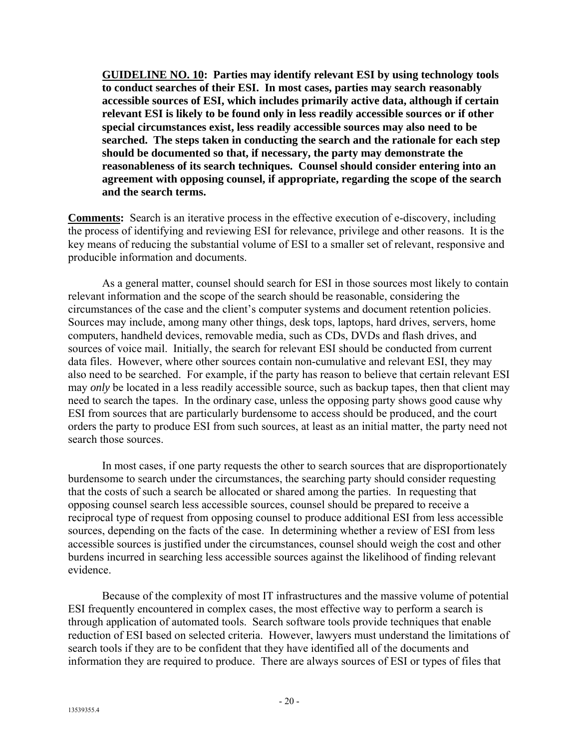**GUIDELINE NO. 10: Parties may identify relevant ESI by using technology tools to conduct searches of their ESI. In most cases, parties may search reasonably accessible sources of ESI, which includes primarily active data, although if certain relevant ESI is likely to be found only in less readily accessible sources or if other special circumstances exist, less readily accessible sources may also need to be searched. The steps taken in conducting the search and the rationale for each step should be documented so that, if necessary, the party may demonstrate the reasonableness of its search techniques. Counsel should consider entering into an agreement with opposing counsel, if appropriate, regarding the scope of the search and the search terms.**

**Comments:** Search is an iterative process in the effective execution of e-discovery, including the process of identifying and reviewing ESI for relevance, privilege and other reasons. It is the key means of reducing the substantial volume of ESI to a smaller set of relevant, responsive and producible information and documents.

As a general matter, counsel should search for ESI in those sources most likely to contain relevant information and the scope of the search should be reasonable, considering the circumstances of the case and the client's computer systems and document retention policies. Sources may include, among many other things, desk tops, laptops, hard drives, servers, home computers, handheld devices, removable media, such as CDs, DVDs and flash drives, and sources of voice mail. Initially, the search for relevant ESI should be conducted from current data files. However, where other sources contain non-cumulative and relevant ESI, they may also need to be searched. For example, if the party has reason to believe that certain relevant ESI may *only* be located in a less readily accessible source, such as backup tapes, then that client may need to search the tapes. In the ordinary case, unless the opposing party shows good cause why ESI from sources that are particularly burdensome to access should be produced, and the court orders the party to produce ESI from such sources, at least as an initial matter, the party need not search those sources.

In most cases, if one party requests the other to search sources that are disproportionately burdensome to search under the circumstances, the searching party should consider requesting that the costs of such a search be allocated or shared among the parties. In requesting that opposing counsel search less accessible sources, counsel should be prepared to receive a reciprocal type of request from opposing counsel to produce additional ESI from less accessible sources, depending on the facts of the case. In determining whether a review of ESI from less accessible sources is justified under the circumstances, counsel should weigh the cost and other burdens incurred in searching less accessible sources against the likelihood of finding relevant evidence.

Because of the complexity of most IT infrastructures and the massive volume of potential ESI frequently encountered in complex cases, the most effective way to perform a search is through application of automated tools. Search software tools provide techniques that enable reduction of ESI based on selected criteria. However, lawyers must understand the limitations of search tools if they are to be confident that they have identified all of the documents and information they are required to produce. There are always sources of ESI or types of files that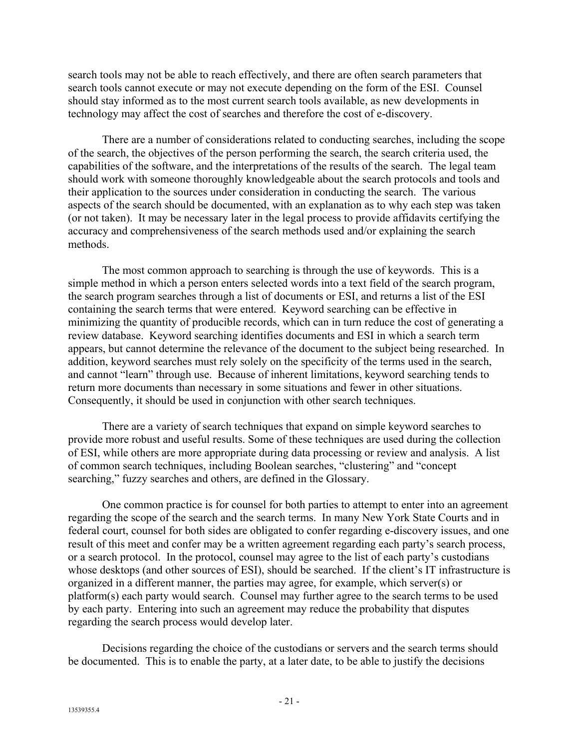search tools may not be able to reach effectively, and there are often search parameters that search tools cannot execute or may not execute depending on the form of the ESI. Counsel should stay informed as to the most current search tools available, as new developments in technology may affect the cost of searches and therefore the cost of e-discovery.

There are a number of considerations related to conducting searches, including the scope of the search, the objectives of the person performing the search, the search criteria used, the capabilities of the software, and the interpretations of the results of the search. The legal team should work with someone thoroughly knowledgeable about the search protocols and tools and their application to the sources under consideration in conducting the search. The various aspects of the search should be documented, with an explanation as to why each step was taken (or not taken). It may be necessary later in the legal process to provide affidavits certifying the accuracy and comprehensiveness of the search methods used and/or explaining the search methods.

The most common approach to searching is through the use of keywords. This is a simple method in which a person enters selected words into a text field of the search program, the search program searches through a list of documents or ESI, and returns a list of the ESI containing the search terms that were entered. Keyword searching can be effective in minimizing the quantity of producible records, which can in turn reduce the cost of generating a review database. Keyword searching identifies documents and ESI in which a search term appears, but cannot determine the relevance of the document to the subject being researched. In addition, keyword searches must rely solely on the specificity of the terms used in the search, and cannot "learn" through use. Because of inherent limitations, keyword searching tends to return more documents than necessary in some situations and fewer in other situations. Consequently, it should be used in conjunction with other search techniques.

There are a variety of search techniques that expand on simple keyword searches to provide more robust and useful results. Some of these techniques are used during the collection of ESI, while others are more appropriate during data processing or review and analysis. A list of common search techniques, including Boolean searches, "clustering" and "concept searching," fuzzy searches and others, are defined in the Glossary.

One common practice is for counsel for both parties to attempt to enter into an agreement regarding the scope of the search and the search terms. In many New York State Courts and in federal court, counsel for both sides are obligated to confer regarding e-discovery issues, and one result of this meet and confer may be a written agreement regarding each party's search process, or a search protocol. In the protocol, counsel may agree to the list of each party's custodians whose desktops (and other sources of ESI), should be searched. If the client's IT infrastructure is organized in a different manner, the parties may agree, for example, which server(s) or platform(s) each party would search. Counsel may further agree to the search terms to be used by each party. Entering into such an agreement may reduce the probability that disputes regarding the search process would develop later.

Decisions regarding the choice of the custodians or servers and the search terms should be documented. This is to enable the party, at a later date, to be able to justify the decisions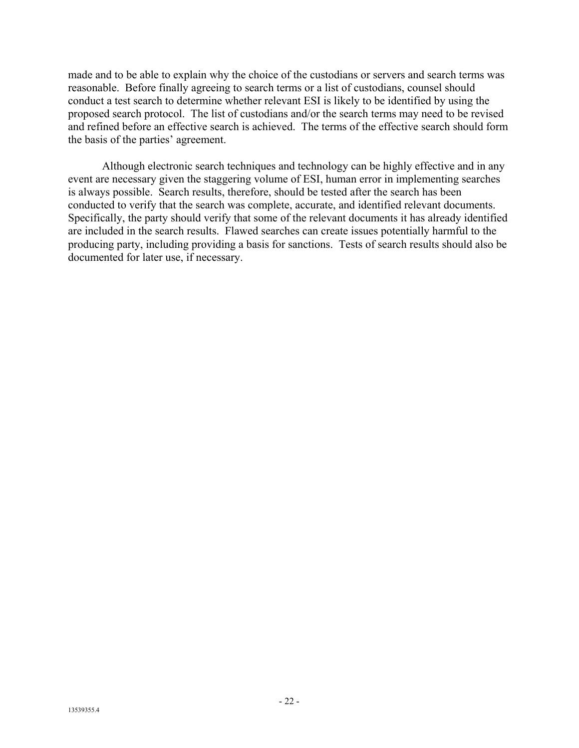made and to be able to explain why the choice of the custodians or servers and search terms was reasonable. Before finally agreeing to search terms or a list of custodians, counsel should conduct a test search to determine whether relevant ESI is likely to be identified by using the proposed search protocol. The list of custodians and/or the search terms may need to be revised and refined before an effective search is achieved. The terms of the effective search should form the basis of the parties' agreement.

Although electronic search techniques and technology can be highly effective and in any event are necessary given the staggering volume of ESI, human error in implementing searches is always possible. Search results, therefore, should be tested after the search has been conducted to verify that the search was complete, accurate, and identified relevant documents. Specifically, the party should verify that some of the relevant documents it has already identified are included in the search results. Flawed searches can create issues potentially harmful to the producing party, including providing a basis for sanctions. Tests of search results should also be documented for later use, if necessary.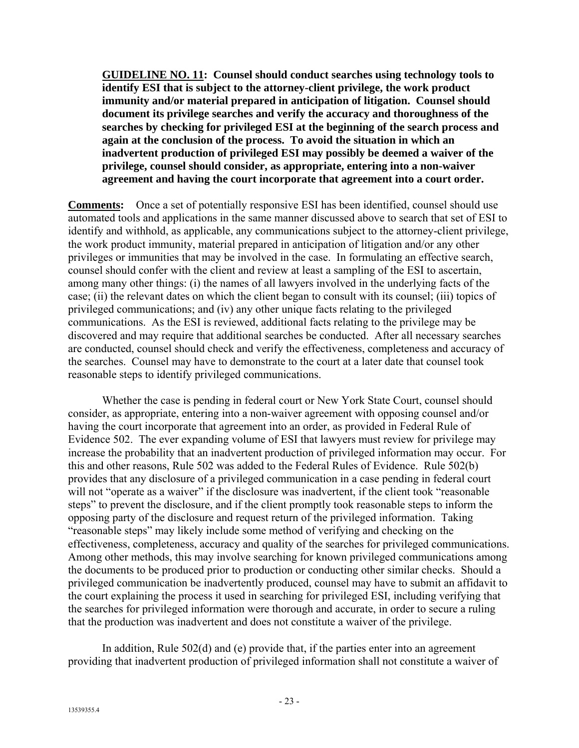**GUIDELINE NO. 11: Counsel should conduct searches using technology tools to identify ESI that is subject to the attorney-client privilege, the work product immunity and/or material prepared in anticipation of litigation. Counsel should document its privilege searches and verify the accuracy and thoroughness of the searches by checking for privileged ESI at the beginning of the search process and again at the conclusion of the process. To avoid the situation in which an inadvertent production of privileged ESI may possibly be deemed a waiver of the privilege, counsel should consider, as appropriate, entering into a non-waiver agreement and having the court incorporate that agreement into a court order.**

**Comments:** Once a set of potentially responsive ESI has been identified, counsel should use automated tools and applications in the same manner discussed above to search that set of ESI to identify and withhold, as applicable, any communications subject to the attorney-client privilege, the work product immunity, material prepared in anticipation of litigation and/or any other privileges or immunities that may be involved in the case. In formulating an effective search, counsel should confer with the client and review at least a sampling of the ESI to ascertain, among many other things: (i) the names of all lawyers involved in the underlying facts of the case; (ii) the relevant dates on which the client began to consult with its counsel; (iii) topics of privileged communications; and (iv) any other unique facts relating to the privileged communications. As the ESI is reviewed, additional facts relating to the privilege may be discovered and may require that additional searches be conducted. After all necessary searches are conducted, counsel should check and verify the effectiveness, completeness and accuracy of the searches. Counsel may have to demonstrate to the court at a later date that counsel took reasonable steps to identify privileged communications.

Whether the case is pending in federal court or New York State Court, counsel should consider, as appropriate, entering into a non-waiver agreement with opposing counsel and/or having the court incorporate that agreement into an order, as provided in Federal Rule of Evidence 502. The ever expanding volume of ESI that lawyers must review for privilege may increase the probability that an inadvertent production of privileged information may occur. For this and other reasons, Rule 502 was added to the Federal Rules of Evidence. Rule 502(b) provides that any disclosure of a privileged communication in a case pending in federal court will not "operate as a waiver" if the disclosure was inadvertent, if the client took "reasonable" steps" to prevent the disclosure, and if the client promptly took reasonable steps to inform the opposing party of the disclosure and request return of the privileged information. Taking "reasonable steps" may likely include some method of verifying and checking on the effectiveness, completeness, accuracy and quality of the searches for privileged communications. Among other methods, this may involve searching for known privileged communications among the documents to be produced prior to production or conducting other similar checks. Should a privileged communication be inadvertently produced, counsel may have to submit an affidavit to the court explaining the process it used in searching for privileged ESI, including verifying that the searches for privileged information were thorough and accurate, in order to secure a ruling that the production was inadvertent and does not constitute a waiver of the privilege.

In addition, Rule 502(d) and (e) provide that, if the parties enter into an agreement providing that inadvertent production of privileged information shall not constitute a waiver of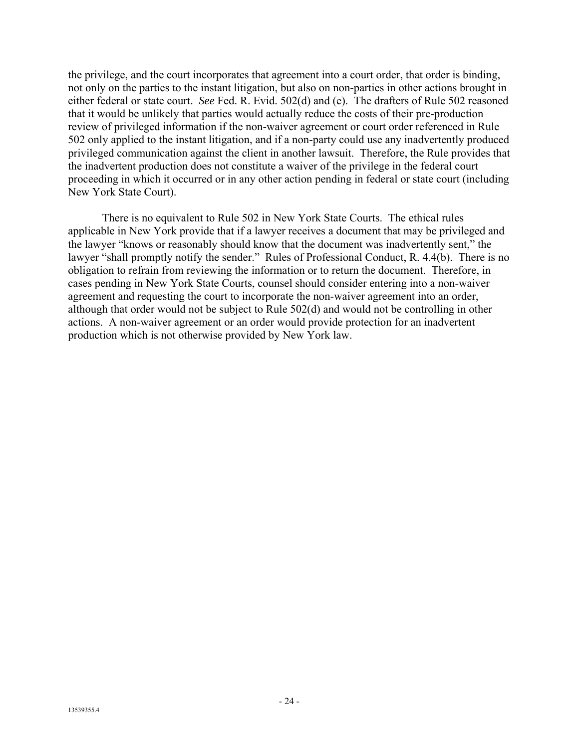the privilege, and the court incorporates that agreement into a court order, that order is binding, not only on the parties to the instant litigation, but also on non-parties in other actions brought in either federal or state court. *See* Fed. R. Evid. 502(d) and (e). The drafters of Rule 502 reasoned that it would be unlikely that parties would actually reduce the costs of their pre-production review of privileged information if the non-waiver agreement or court order referenced in Rule 502 only applied to the instant litigation, and if a non-party could use any inadvertently produced privileged communication against the client in another lawsuit. Therefore, the Rule provides that the inadvertent production does not constitute a waiver of the privilege in the federal court proceeding in which it occurred or in any other action pending in federal or state court (including New York State Court).

There is no equivalent to Rule 502 in New York State Courts. The ethical rules applicable in New York provide that if a lawyer receives a document that may be privileged and the lawyer "knows or reasonably should know that the document was inadvertently sent," the lawyer "shall promptly notify the sender." Rules of Professional Conduct, R. 4.4(b). There is no obligation to refrain from reviewing the information or to return the document. Therefore, in cases pending in New York State Courts, counsel should consider entering into a non-waiver agreement and requesting the court to incorporate the non-waiver agreement into an order, although that order would not be subject to Rule 502(d) and would not be controlling in other actions. A non-waiver agreement or an order would provide protection for an inadvertent production which is not otherwise provided by New York law.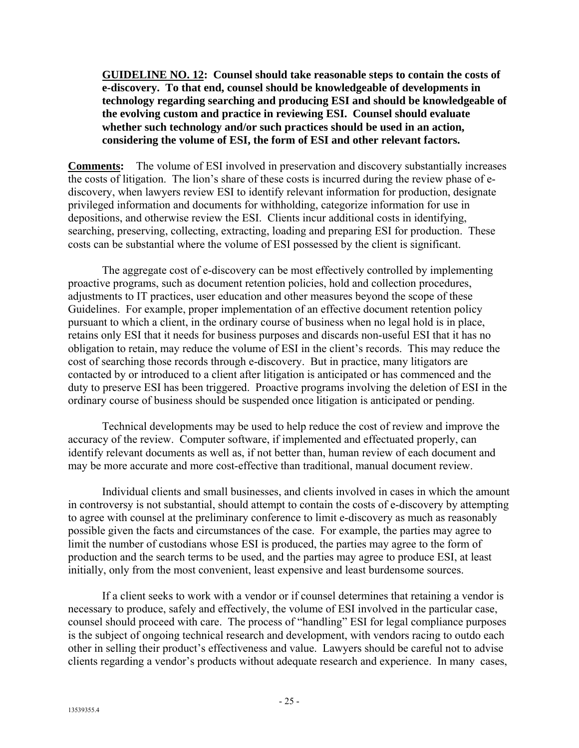**GUIDELINE NO. 12: Counsel should take reasonable steps to contain the costs of e-discovery. To that end, counsel should be knowledgeable of developments in technology regarding searching and producing ESI and should be knowledgeable of the evolving custom and practice in reviewing ESI. Counsel should evaluate whether such technology and/or such practices should be used in an action, considering the volume of ESI, the form of ESI and other relevant factors.**

**Comments:** The volume of ESI involved in preservation and discovery substantially increases the costs of litigation. The lion's share of these costs is incurred during the review phase of ediscovery, when lawyers review ESI to identify relevant information for production, designate privileged information and documents for withholding, categorize information for use in depositions, and otherwise review the ESI. Clients incur additional costs in identifying, searching, preserving, collecting, extracting, loading and preparing ESI for production. These costs can be substantial where the volume of ESI possessed by the client is significant.

The aggregate cost of e-discovery can be most effectively controlled by implementing proactive programs, such as document retention policies, hold and collection procedures, adjustments to IT practices, user education and other measures beyond the scope of these Guidelines. For example, proper implementation of an effective document retention policy pursuant to which a client, in the ordinary course of business when no legal hold is in place, retains only ESI that it needs for business purposes and discards non-useful ESI that it has no obligation to retain, may reduce the volume of ESI in the client's records. This may reduce the cost of searching those records through e-discovery. But in practice, many litigators are contacted by or introduced to a client after litigation is anticipated or has commenced and the duty to preserve ESI has been triggered. Proactive programs involving the deletion of ESI in the ordinary course of business should be suspended once litigation is anticipated or pending.

Technical developments may be used to help reduce the cost of review and improve the accuracy of the review. Computer software, if implemented and effectuated properly, can identify relevant documents as well as, if not better than, human review of each document and may be more accurate and more cost-effective than traditional, manual document review.

Individual clients and small businesses, and clients involved in cases in which the amount in controversy is not substantial, should attempt to contain the costs of e-discovery by attempting to agree with counsel at the preliminary conference to limit e-discovery as much as reasonably possible given the facts and circumstances of the case. For example, the parties may agree to limit the number of custodians whose ESI is produced, the parties may agree to the form of production and the search terms to be used, and the parties may agree to produce ESI, at least initially, only from the most convenient, least expensive and least burdensome sources.

If a client seeks to work with a vendor or if counsel determines that retaining a vendor is necessary to produce, safely and effectively, the volume of ESI involved in the particular case, counsel should proceed with care. The process of "handling" ESI for legal compliance purposes is the subject of ongoing technical research and development, with vendors racing to outdo each other in selling their product's effectiveness and value. Lawyers should be careful not to advise clients regarding a vendor's products without adequate research and experience. In many cases,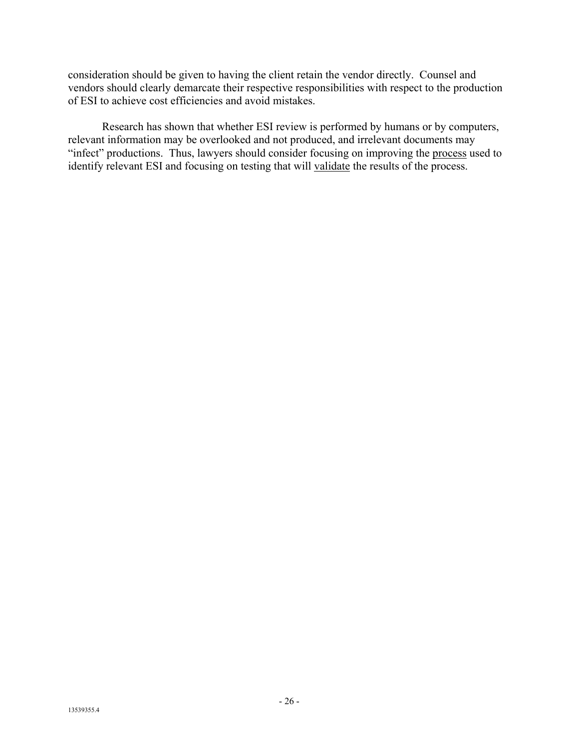consideration should be given to having the client retain the vendor directly. Counsel and vendors should clearly demarcate their respective responsibilities with respect to the production of ESI to achieve cost efficiencies and avoid mistakes.

Research has shown that whether ESI review is performed by humans or by computers, relevant information may be overlooked and not produced, and irrelevant documents may "infect" productions. Thus, lawyers should consider focusing on improving the process used to identify relevant ESI and focusing on testing that will validate the results of the process.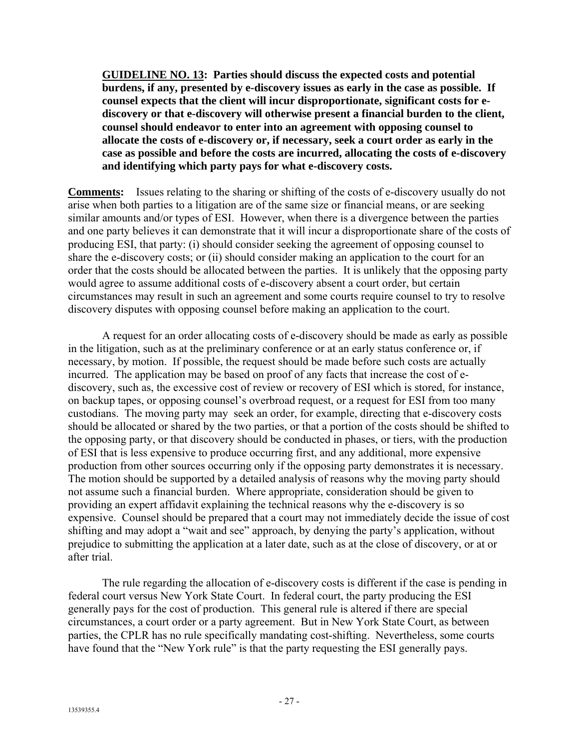**GUIDELINE NO. 13: Parties should discuss the expected costs and potential burdens, if any, presented by e-discovery issues as early in the case as possible. If counsel expects that the client will incur disproportionate, significant costs for ediscovery or that e-discovery will otherwise present a financial burden to the client, counsel should endeavor to enter into an agreement with opposing counsel to allocate the costs of e-discovery or, if necessary, seek a court order as early in the case as possible and before the costs are incurred, allocating the costs of e-discovery and identifying which party pays for what e-discovery costs.**

**Comments:** Issues relating to the sharing or shifting of the costs of e-discovery usually do not arise when both parties to a litigation are of the same size or financial means, or are seeking similar amounts and/or types of ESI. However, when there is a divergence between the parties and one party believes it can demonstrate that it will incur a disproportionate share of the costs of producing ESI, that party: (i) should consider seeking the agreement of opposing counsel to share the e-discovery costs; or (ii) should consider making an application to the court for an order that the costs should be allocated between the parties. It is unlikely that the opposing party would agree to assume additional costs of e-discovery absent a court order, but certain circumstances may result in such an agreement and some courts require counsel to try to resolve discovery disputes with opposing counsel before making an application to the court.

A request for an order allocating costs of e-discovery should be made as early as possible in the litigation, such as at the preliminary conference or at an early status conference or, if necessary, by motion. If possible, the request should be made before such costs are actually incurred. The application may be based on proof of any facts that increase the cost of ediscovery, such as, the excessive cost of review or recovery of ESI which is stored, for instance, on backup tapes, or opposing counsel's overbroad request, or a request for ESI from too many custodians. The moving party may seek an order, for example, directing that e-discovery costs should be allocated or shared by the two parties, or that a portion of the costs should be shifted to the opposing party, or that discovery should be conducted in phases, or tiers, with the production of ESI that is less expensive to produce occurring first, and any additional, more expensive production from other sources occurring only if the opposing party demonstrates it is necessary. The motion should be supported by a detailed analysis of reasons why the moving party should not assume such a financial burden. Where appropriate, consideration should be given to providing an expert affidavit explaining the technical reasons why the e-discovery is so expensive. Counsel should be prepared that a court may not immediately decide the issue of cost shifting and may adopt a "wait and see" approach, by denying the party's application, without prejudice to submitting the application at a later date, such as at the close of discovery, or at or after trial.

The rule regarding the allocation of e-discovery costs is different if the case is pending in federal court versus New York State Court. In federal court, the party producing the ESI generally pays for the cost of production. This general rule is altered if there are special circumstances, a court order or a party agreement. But in New York State Court, as between parties, the CPLR has no rule specifically mandating cost-shifting. Nevertheless, some courts have found that the "New York rule" is that the party requesting the ESI generally pays.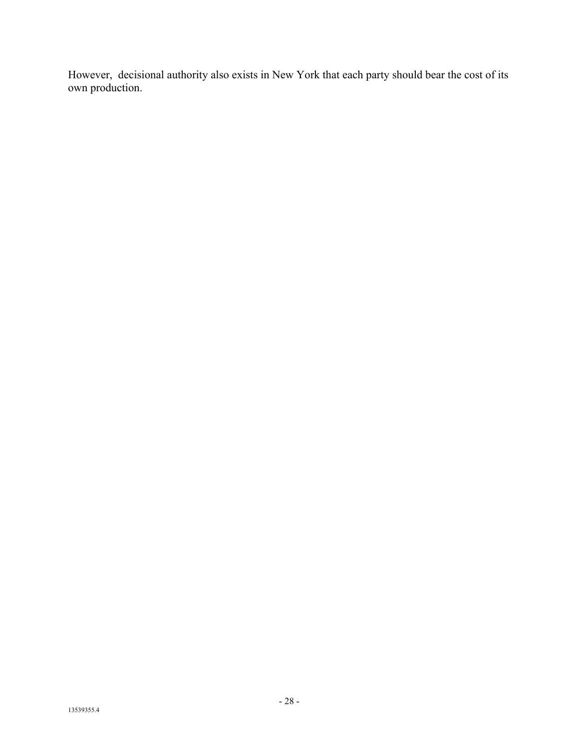However, decisional authority also exists in New York that each party should bear the cost of its own production.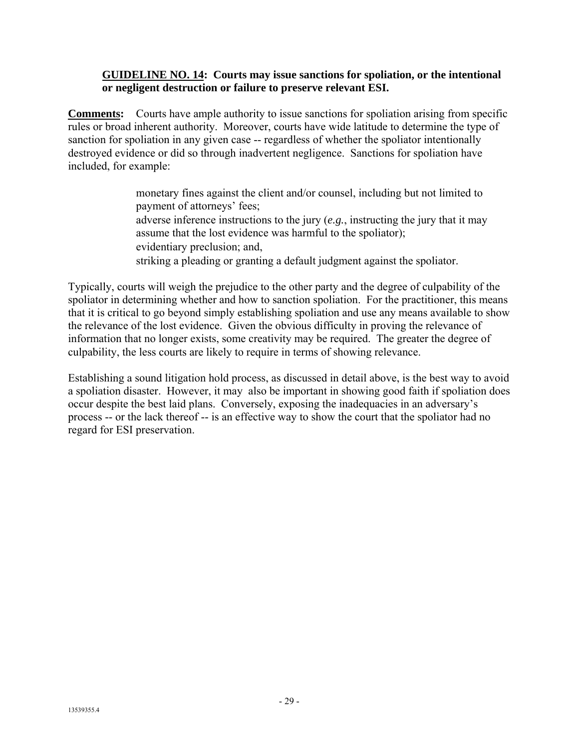### **GUIDELINE NO. 14: Courts may issue sanctions for spoliation, or the intentional or negligent destruction or failure to preserve relevant ESI.**

**Comments:** Courts have ample authority to issue sanctions for spoliation arising from specific rules or broad inherent authority. Moreover, courts have wide latitude to determine the type of sanction for spoliation in any given case -- regardless of whether the spoliator intentionally destroyed evidence or did so through inadvertent negligence. Sanctions for spoliation have included, for example:

> monetary fines against the client and/or counsel, including but not limited to payment of attorneys' fees; adverse inference instructions to the jury (*e.g.*, instructing the jury that it may assume that the lost evidence was harmful to the spoliator); evidentiary preclusion; and, striking a pleading or granting a default judgment against the spoliator.

Typically, courts will weigh the prejudice to the other party and the degree of culpability of the spoliator in determining whether and how to sanction spoliation. For the practitioner, this means that it is critical to go beyond simply establishing spoliation and use any means available to show the relevance of the lost evidence. Given the obvious difficulty in proving the relevance of information that no longer exists, some creativity may be required. The greater the degree of culpability, the less courts are likely to require in terms of showing relevance.

Establishing a sound litigation hold process, as discussed in detail above, is the best way to avoid a spoliation disaster. However, it may also be important in showing good faith if spoliation does occur despite the best laid plans. Conversely, exposing the inadequacies in an adversary's process -- or the lack thereof -- is an effective way to show the court that the spoliator had no regard for ESI preservation.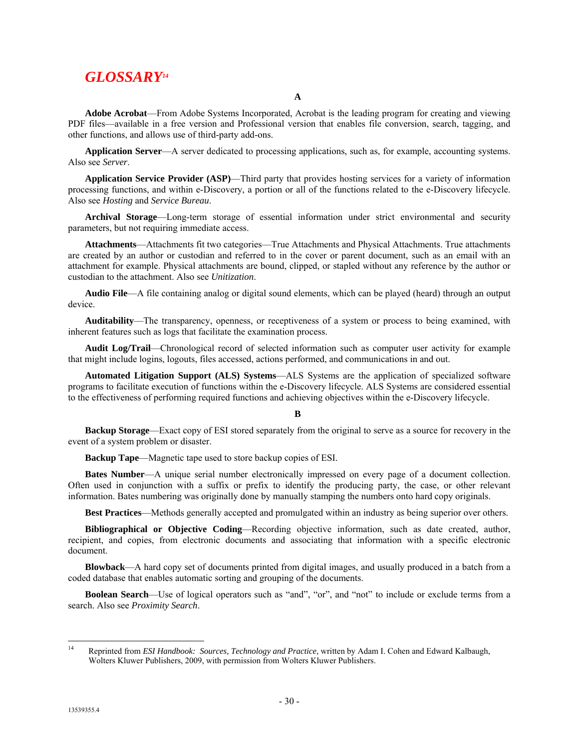# *GLOSSARY14*

**A**

**Adobe Acrobat**—From Adobe Systems Incorporated, Acrobat is the leading program for creating and viewing PDF files—available in a free version and Professional version that enables file conversion, search, tagging, and other functions, and allows use of third-party add-ons.

**Application Server**—A server dedicated to processing applications, such as, for example, accounting systems. Also see *Server*.

**Application Service Provider (ASP)**—Third party that provides hosting services for a variety of information processing functions, and within e-Discovery, a portion or all of the functions related to the e-Discovery lifecycle. Also see *Hosting* and *Service Bureau*.

**Archival Storage**—Long-term storage of essential information under strict environmental and security parameters, but not requiring immediate access.

**Attachments**—Attachments fit two categories—True Attachments and Physical Attachments. True attachments are created by an author or custodian and referred to in the cover or parent document, such as an email with an attachment for example. Physical attachments are bound, clipped, or stapled without any reference by the author or custodian to the attachment. Also see *Unitization*.

**Audio File**—A file containing analog or digital sound elements, which can be played (heard) through an output device.

**Auditability**—The transparency, openness, or receptiveness of a system or process to being examined, with inherent features such as logs that facilitate the examination process.

**Audit Log/Trail**—Chronological record of selected information such as computer user activity for example that might include logins, logouts, files accessed, actions performed, and communications in and out.

**Automated Litigation Support (ALS) Systems**—ALS Systems are the application of specialized software programs to facilitate execution of functions within the e-Discovery lifecycle. ALS Systems are considered essential to the effectiveness of performing required functions and achieving objectives within the e-Discovery lifecycle.

#### **B**

**Backup Storage**—Exact copy of ESI stored separately from the original to serve as a source for recovery in the event of a system problem or disaster.

**Backup Tape**—Magnetic tape used to store backup copies of ESI.

**Bates Number**—A unique serial number electronically impressed on every page of a document collection. Often used in conjunction with a suffix or prefix to identify the producing party, the case, or other relevant information. Bates numbering was originally done by manually stamping the numbers onto hard copy originals.

**Best Practices**—Methods generally accepted and promulgated within an industry as being superior over others.

**Bibliographical or Objective Coding**—Recording objective information, such as date created, author, recipient, and copies, from electronic documents and associating that information with a specific electronic document.

**Blowback**—A hard copy set of documents printed from digital images, and usually produced in a batch from a coded database that enables automatic sorting and grouping of the documents.

**Boolean Search—Use** of logical operators such as "and", "or", and "not" to include or exclude terms from a search. Also see *Proximity Search*.

 $14$ 14 Reprinted from *ESI Handbook: Sources, Technology and Practice,* written by Adam I. Cohen and Edward Kalbaugh, Wolters Kluwer Publishers, 2009, with permission from Wolters Kluwer Publishers.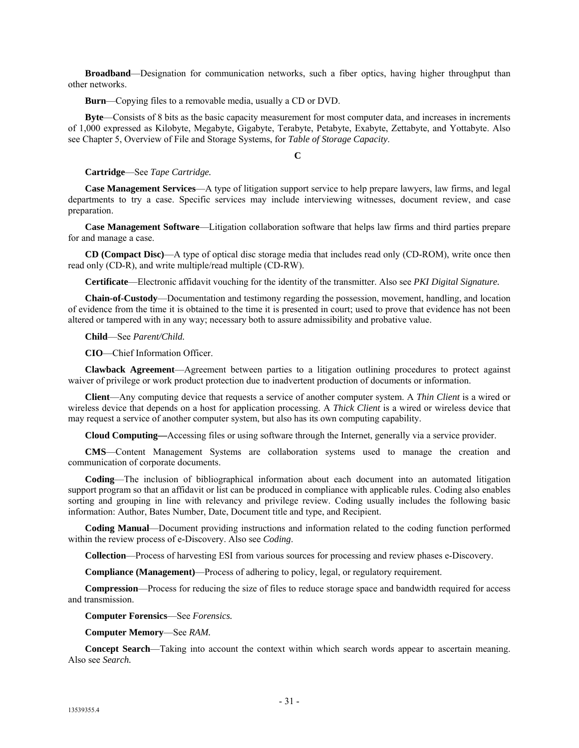**Broadband**—Designation for communication networks, such a fiber optics, having higher throughput than other networks.

**Burn**—Copying files to a removable media, usually a CD or DVD.

**Byte**—Consists of 8 bits as the basic capacity measurement for most computer data, and increases in increments of 1,000 expressed as Kilobyte, Megabyte, Gigabyte, Terabyte, Petabyte, Exabyte, Zettabyte, and Yottabyte. Also see Chapter 5, Overview of File and Storage Systems, for *Table of Storage Capacity*.

**C**

**Cartridge**—See *Tape Cartridge.*

**Case Management Services**—A type of litigation support service to help prepare lawyers, law firms, and legal departments to try a case. Specific services may include interviewing witnesses, document review, and case preparation.

**Case Management Software**—Litigation collaboration software that helps law firms and third parties prepare for and manage a case.

**CD (Compact Disc)**—A type of optical disc storage media that includes read only (CD-ROM), write once then read only (CD-R), and write multiple/read multiple (CD-RW).

**Certificate**—Electronic affidavit vouching for the identity of the transmitter. Also see *PKI Digital Signature.*

**Chain-of-Custody**—Documentation and testimony regarding the possession, movement, handling, and location of evidence from the time it is obtained to the time it is presented in court; used to prove that evidence has not been altered or tampered with in any way; necessary both to assure admissibility and probative value.

**Child**—See *Parent/Child.*

**CIO**—Chief Information Officer.

**Clawback Agreement**—Agreement between parties to a litigation outlining procedures to protect against waiver of privilege or work product protection due to inadvertent production of documents or information.

**Client**—Any computing device that requests a service of another computer system. A *Thin Client* is a wired or wireless device that depends on a host for application processing. A *Thick Client* is a wired or wireless device that may request a service of another computer system, but also has its own computing capability.

**Cloud Computing—**Accessing files or using software through the Internet, generally via a service provider.

**CMS**—Content Management Systems are collaboration systems used to manage the creation and communication of corporate documents.

**Coding**—The inclusion of bibliographical information about each document into an automated litigation support program so that an affidavit or list can be produced in compliance with applicable rules. Coding also enables sorting and grouping in line with relevancy and privilege review. Coding usually includes the following basic information: Author, Bates Number, Date, Document title and type, and Recipient.

**Coding Manual**—Document providing instructions and information related to the coding function performed within the review process of e-Discovery. Also see *Coding*.

**Collection**—Process of harvesting ESI from various sources for processing and review phases e-Discovery.

**Compliance (Management)**—Process of adhering to policy, legal, or regulatory requirement.

**Compression**—Process for reducing the size of files to reduce storage space and bandwidth required for access and transmission.

**Computer Forensics**—See *Forensics.*

**Computer Memory**—See *RAM.*

**Concept Search**—Taking into account the context within which search words appear to ascertain meaning. Also see *Search.*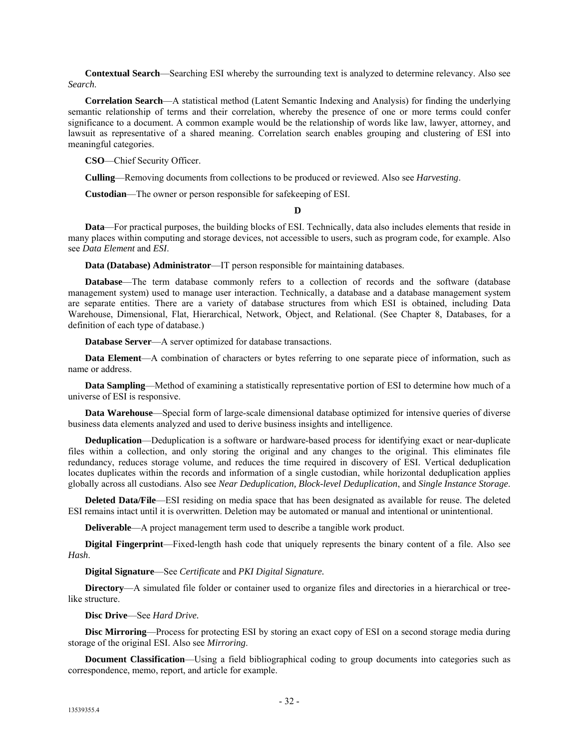**Contextual Search**—Searching ESI whereby the surrounding text is analyzed to determine relevancy. Also see *Search*.

**Correlation Search**—A statistical method (Latent Semantic Indexing and Analysis) for finding the underlying semantic relationship of terms and their correlation, whereby the presence of one or more terms could confer significance to a document. A common example would be the relationship of words like law, lawyer, attorney, and lawsuit as representative of a shared meaning. Correlation search enables grouping and clustering of ESI into meaningful categories.

**CSO**—Chief Security Officer.

**Culling**—Removing documents from collections to be produced or reviewed. Also see *Harvesting*.

**Custodian**—The owner or person responsible for safekeeping of ESI.

**D**

**Data**—For practical purposes, the building blocks of ESI. Technically, data also includes elements that reside in many places within computing and storage devices, not accessible to users, such as program code, for example. Also see *Data Element* and *ESI*.

**Data (Database) Administrator**—IT person responsible for maintaining databases.

**Database**—The term database commonly refers to a collection of records and the software (database) management system) used to manage user interaction. Technically, a database and a database management system are separate entities. There are a variety of database structures from which ESI is obtained, including Data Warehouse, Dimensional, Flat, Hierarchical, Network, Object, and Relational. (See Chapter 8, Databases, for a definition of each type of database.)

**Database Server**—A server optimized for database transactions.

**Data Element**—A combination of characters or bytes referring to one separate piece of information, such as name or address.

**Data Sampling**—Method of examining a statistically representative portion of ESI to determine how much of a universe of ESI is responsive.

**Data Warehouse**—Special form of large-scale dimensional database optimized for intensive queries of diverse business data elements analyzed and used to derive business insights and intelligence.

**Deduplication**—Deduplication is a software or hardware-based process for identifying exact or near-duplicate files within a collection, and only storing the original and any changes to the original. This eliminates file redundancy, reduces storage volume, and reduces the time required in discovery of ESI. Vertical deduplication locates duplicates within the records and information of a single custodian, while horizontal deduplication applies globally across all custodians. Also see *Near Deduplication, Block-level Deduplication*, and *Single Instance Storage*.

**Deleted Data/File**—ESI residing on media space that has been designated as available for reuse. The deleted ESI remains intact until it is overwritten. Deletion may be automated or manual and intentional or unintentional.

**Deliverable—A** project management term used to describe a tangible work product.

**Digital Fingerprint**—Fixed-length hash code that uniquely represents the binary content of a file. Also see *Hash*.

**Digital Signature**—See *Certificate* and *PKI Digital Signature.*

**Directory**—A simulated file folder or container used to organize files and directories in a hierarchical or treelike structure.

**Disc Drive**—See *Hard Drive.*

**Disc Mirroring**—Process for protecting ESI by storing an exact copy of ESI on a second storage media during storage of the original ESI. Also see *Mirroring*.

**Document Classification**—Using a field bibliographical coding to group documents into categories such as correspondence, memo, report, and article for example.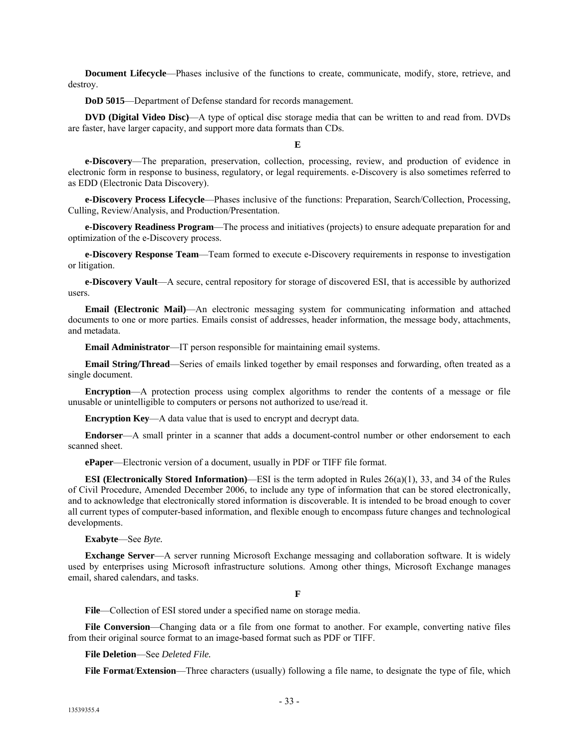**Document Lifecycle**—Phases inclusive of the functions to create, communicate, modify, store, retrieve, and destroy.

**DoD 5015**—Department of Defense standard for records management.

**DVD (Digital Video Disc)**—A type of optical disc storage media that can be written to and read from. DVDs are faster, have larger capacity, and support more data formats than CDs.

#### **E**

**e-Discovery**—The preparation, preservation, collection, processing, review, and production of evidence in electronic form in response to business, regulatory, or legal requirements. e-Discovery is also sometimes referred to as EDD (Electronic Data Discovery).

**e-Discovery Process Lifecycle**—Phases inclusive of the functions: Preparation, Search/Collection, Processing, Culling, Review/Analysis, and Production/Presentation.

**e-Discovery Readiness Program**—The process and initiatives (projects) to ensure adequate preparation for and optimization of the e-Discovery process.

**e-Discovery Response Team**—Team formed to execute e-Discovery requirements in response to investigation or litigation.

**e-Discovery Vault**—A secure, central repository for storage of discovered ESI, that is accessible by authorized users.

**Email (Electronic Mail)**—An electronic messaging system for communicating information and attached documents to one or more parties. Emails consist of addresses, header information, the message body, attachments, and metadata.

**Email Administrator**—IT person responsible for maintaining email systems.

**Email String/Thread**—Series of emails linked together by email responses and forwarding, often treated as a single document.

**Encryption**—A protection process using complex algorithms to render the contents of a message or file unusable or unintelligible to computers or persons not authorized to use/read it.

**Encryption Key**—A data value that is used to encrypt and decrypt data.

**Endorser**—A small printer in a scanner that adds a document-control number or other endorsement to each scanned sheet.

**ePaper**—Electronic version of a document, usually in PDF or TIFF file format.

**ESI (Electronically Stored Information)**—ESI is the term adopted in Rules 26(a)(1), 33, and 34 of the Rules of Civil Procedure, Amended December 2006, to include any type of information that can be stored electronically, and to acknowledge that electronically stored information is discoverable. It is intended to be broad enough to cover all current types of computer-based information, and flexible enough to encompass future changes and technological developments.

#### **Exabyte**—See *Byte.*

**Exchange Server**—A server running Microsoft Exchange messaging and collaboration software. It is widely used by enterprises using Microsoft infrastructure solutions. Among other things, Microsoft Exchange manages email, shared calendars, and tasks.

#### **F**

**File**—Collection of ESI stored under a specified name on storage media.

**File Conversion**—Changing data or a file from one format to another. For example, converting native files from their original source format to an image-based format such as PDF or TIFF.

**File Deletion**—See *Deleted File.*

**File Format**/**Extension**—Three characters (usually) following a file name, to designate the type of file, which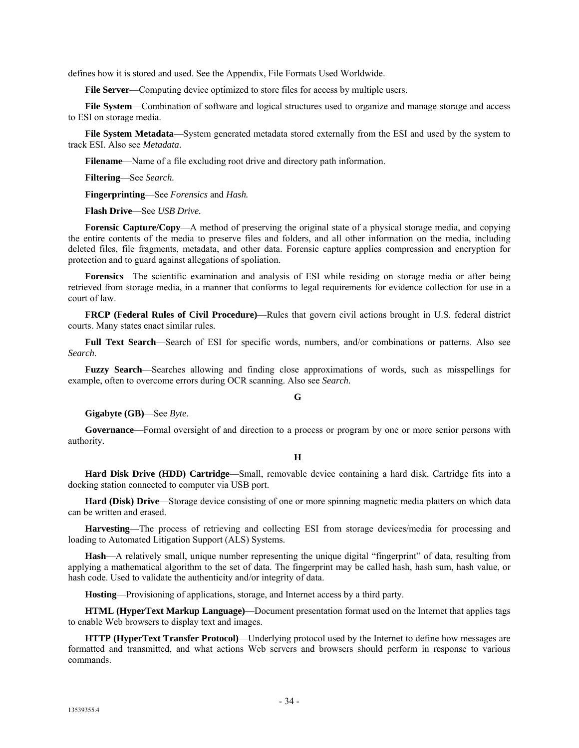defines how it is stored and used. See the Appendix, File Formats Used Worldwide.

**File Server**—Computing device optimized to store files for access by multiple users.

**File System**—Combination of software and logical structures used to organize and manage storage and access to ESI on storage media.

**File System Metadata**—System generated metadata stored externally from the ESI and used by the system to track ESI. Also see *Metadata*.

**Filename**—Name of a file excluding root drive and directory path information.

**Filtering**—See *Search.*

**Fingerprinting**—See *Forensics* and *Hash.*

**Flash Drive**—See *USB Drive.*

**Forensic Capture/Copy**—A method of preserving the original state of a physical storage media, and copying the entire contents of the media to preserve files and folders, and all other information on the media, including deleted files, file fragments, metadata, and other data. Forensic capture applies compression and encryption for protection and to guard against allegations of spoliation.

**Forensics**—The scientific examination and analysis of ESI while residing on storage media or after being retrieved from storage media, in a manner that conforms to legal requirements for evidence collection for use in a court of law.

**FRCP (Federal Rules of Civil Procedure)**—Rules that govern civil actions brought in U.S. federal district courts. Many states enact similar rules.

**Full Text Search**—Search of ESI for specific words, numbers, and/or combinations or patterns. Also see *Search*.

**Fuzzy Search**—Searches allowing and finding close approximations of words, such as misspellings for example, often to overcome errors during OCR scanning. Also see *Search.*

**G**

#### **Gigabyte (GB)**—See *Byte*.

**Governance**—Formal oversight of and direction to a process or program by one or more senior persons with authority.

#### **H**

**Hard Disk Drive (HDD) Cartridge**—Small, removable device containing a hard disk. Cartridge fits into a docking station connected to computer via USB port.

**Hard (Disk) Drive**—Storage device consisting of one or more spinning magnetic media platters on which data can be written and erased.

**Harvesting**—The process of retrieving and collecting ESI from storage devices/media for processing and loading to Automated Litigation Support (ALS) Systems.

**Hash**—A relatively small, unique number representing the unique digital "fingerprint" of data, resulting from applying a mathematical algorithm to the set of data. The fingerprint may be called hash, hash sum, hash value, or hash code. Used to validate the authenticity and/or integrity of data.

**Hosting**—Provisioning of applications, storage, and Internet access by a third party.

**HTML (HyperText Markup Language)**—Document presentation format used on the Internet that applies tags to enable Web browsers to display text and images.

**HTTP (HyperText Transfer Protocol)**—Underlying protocol used by the Internet to define how messages are formatted and transmitted, and what actions Web servers and browsers should perform in response to various commands.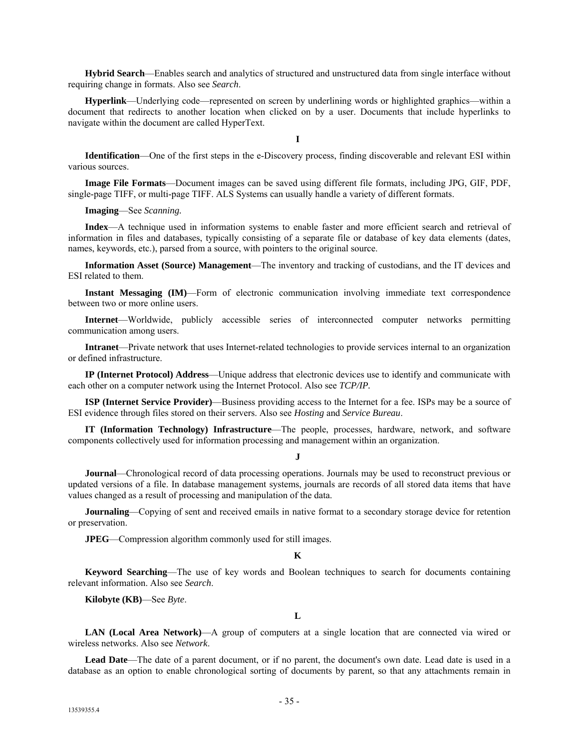**Hybrid Search**—Enables search and analytics of structured and unstructured data from single interface without requiring change in formats. Also see *Search*.

**Hyperlink**—Underlying code—represented on screen by underlining words or highlighted graphics—within a document that redirects to another location when clicked on by a user. Documents that include hyperlinks to navigate within the document are called HyperText.

**I**

**Identification**—One of the first steps in the e-Discovery process, finding discoverable and relevant ESI within various sources.

**Image File Formats**—Document images can be saved using different file formats, including JPG, GIF, PDF, single-page TIFF, or multi-page TIFF. ALS Systems can usually handle a variety of different formats.

**Imaging**—See *Scanning.*

**Index**—A technique used in information systems to enable faster and more efficient search and retrieval of information in files and databases, typically consisting of a separate file or database of key data elements (dates, names, keywords, etc.), parsed from a source, with pointers to the original source.

**Information Asset (Source) Management**—The inventory and tracking of custodians, and the IT devices and ESI related to them.

**Instant Messaging (IM)—Form** of electronic communication involving immediate text correspondence between two or more online users.

**Internet**—Worldwide, publicly accessible series of interconnected computer networks permitting communication among users.

**Intranet**—Private network that uses Internet-related technologies to provide services internal to an organization or defined infrastructure.

**IP (Internet Protocol) Address**—Unique address that electronic devices use to identify and communicate with each other on a computer network using the Internet Protocol. Also see *TCP/IP.*

**ISP (Internet Service Provider)**—Business providing access to the Internet for a fee. ISPs may be a source of ESI evidence through files stored on their servers. Also see *Hosting* and *Service Bureau*.

**IT (Information Technology) Infrastructure**—The people, processes, hardware, network, and software components collectively used for information processing and management within an organization.

#### **J**

**Journal**—Chronological record of data processing operations. Journals may be used to reconstruct previous or updated versions of a file. In database management systems, journals are records of all stored data items that have values changed as a result of processing and manipulation of the data.

**Journaling**—Copying of sent and received emails in native format to a secondary storage device for retention or preservation.

**JPEG**—Compression algorithm commonly used for still images.

#### **K**

**Keyword Searching**—The use of key words and Boolean techniques to search for documents containing relevant information. Also see *Search*.

**Kilobyte (KB)**—See *Byte*.

**L**

**LAN (Local Area Network)**—A group of computers at a single location that are connected via wired or wireless networks. Also see *Network*.

**Lead Date**—The date of a parent document, or if no parent, the document's own date. Lead date is used in a database as an option to enable chronological sorting of documents by parent, so that any attachments remain in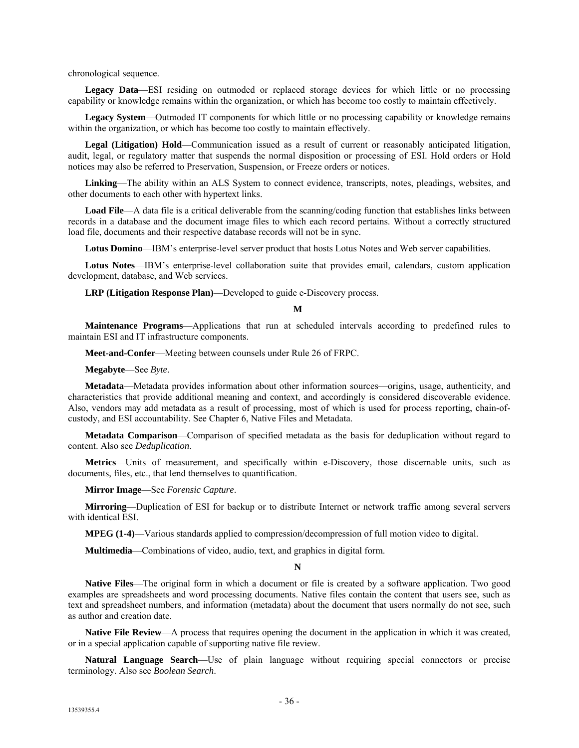chronological sequence.

**Legacy Data**—ESI residing on outmoded or replaced storage devices for which little or no processing capability or knowledge remains within the organization, or which has become too costly to maintain effectively.

**Legacy System**—Outmoded IT components for which little or no processing capability or knowledge remains within the organization, or which has become too costly to maintain effectively.

**Legal (Litigation) Hold**—Communication issued as a result of current or reasonably anticipated litigation, audit, legal, or regulatory matter that suspends the normal disposition or processing of ESI. Hold orders or Hold notices may also be referred to Preservation, Suspension, or Freeze orders or notices.

**Linking**—The ability within an ALS System to connect evidence, transcripts, notes, pleadings, websites, and other documents to each other with hypertext links.

Load File—A data file is a critical deliverable from the scanning/coding function that establishes links between records in a database and the document image files to which each record pertains. Without a correctly structured load file, documents and their respective database records will not be in sync.

**Lotus Domino**—IBM's enterprise-level server product that hosts Lotus Notes and Web server capabilities.

**Lotus Notes**—IBM's enterprise-level collaboration suite that provides email, calendars, custom application development, database, and Web services.

**LRP (Litigation Response Plan)**—Developed to guide e-Discovery process.

#### **M**

**Maintenance Programs**—Applications that run at scheduled intervals according to predefined rules to maintain ESI and IT infrastructure components.

**Meet-and-Confer**—Meeting between counsels under Rule 26 of FRPC.

**Megabyte**—See *Byte*.

**Metadata**—Metadata provides information about other information sources—origins, usage, authenticity, and characteristics that provide additional meaning and context, and accordingly is considered discoverable evidence. Also, vendors may add metadata as a result of processing, most of which is used for process reporting, chain-ofcustody, and ESI accountability. See Chapter 6, Native Files and Metadata.

**Metadata Comparison**—Comparison of specified metadata as the basis for deduplication without regard to content. Also see *Deduplication*.

**Metrics**—Units of measurement, and specifically within e-Discovery, those discernable units, such as documents, files, etc., that lend themselves to quantification.

**Mirror Image**—See *Forensic Capture*.

**Mirroring**—Duplication of ESI for backup or to distribute Internet or network traffic among several servers with identical ESI.

**MPEG (1-4)**—Various standards applied to compression/decompression of full motion video to digital.

**Multimedia**—Combinations of video, audio, text, and graphics in digital form.

#### **N**

**Native Files**—The original form in which a document or file is created by a software application. Two good examples are spreadsheets and word processing documents. Native files contain the content that users see, such as text and spreadsheet numbers, and information (metadata) about the document that users normally do not see, such as author and creation date.

**Native File Review**—A process that requires opening the document in the application in which it was created, or in a special application capable of supporting native file review.

**Natural Language Search**—Use of plain language without requiring special connectors or precise terminology. Also see *Boolean Search*.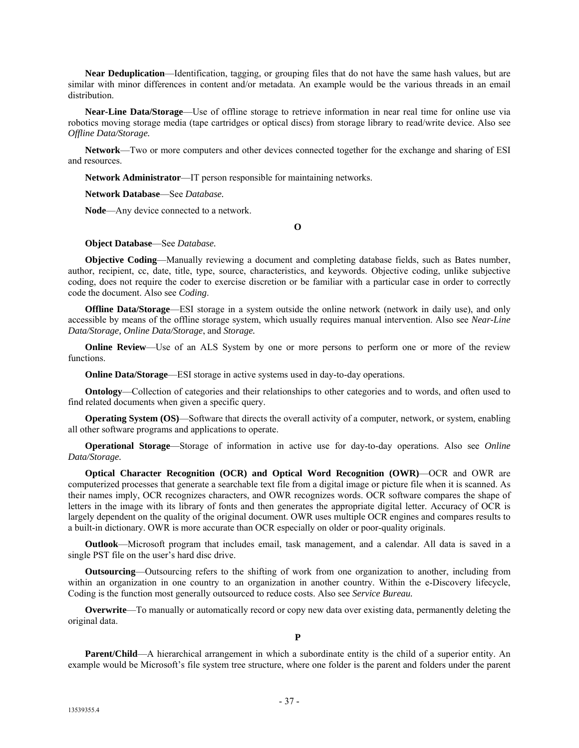**Near Deduplication**—Identification, tagging, or grouping files that do not have the same hash values, but are similar with minor differences in content and/or metadata. An example would be the various threads in an email distribution.

**Near-Line Data/Storage**—Use of offline storage to retrieve information in near real time for online use via robotics moving storage media (tape cartridges or optical discs) from storage library to read/write device. Also see *Offline Data/Storage.*

**Network**—Two or more computers and other devices connected together for the exchange and sharing of ESI and resources.

**Network Administrator**—IT person responsible for maintaining networks.

**Network Database**—See *Database.*

**Node**—Any device connected to a network.

**O**

#### **Object Database**—See *Database.*

**Objective Coding**—Manually reviewing a document and completing database fields, such as Bates number, author, recipient, cc, date, title, type, source, characteristics, and keywords. Objective coding, unlike subjective coding, does not require the coder to exercise discretion or be familiar with a particular case in order to correctly code the document. Also see *Coding*.

**Offline Data/Storage—ESI** storage in a system outside the online network (network in daily use), and only accessible by means of the offline storage system, which usually requires manual intervention. Also see *Near-Line Data/Storage, Online Data/Storage*, and *Storage.*

**Online Review**—Use of an ALS System by one or more persons to perform one or more of the review functions.

**Online Data/Storage—ESI** storage in active systems used in day-to-day operations.

**Ontology**—Collection of categories and their relationships to other categories and to words, and often used to find related documents when given a specific query.

**Operating System (OS)—Software that directs the overall activity of a computer, network, or system, enabling** all other software programs and applications to operate.

**Operational Storage**—Storage of information in active use for day-to-day operations. Also see *Online Data/Storage.*

**Optical Character Recognition (OCR) and Optical Word Recognition (OWR)**—OCR and OWR are computerized processes that generate a searchable text file from a digital image or picture file when it is scanned. As their names imply, OCR recognizes characters, and OWR recognizes words. OCR software compares the shape of letters in the image with its library of fonts and then generates the appropriate digital letter. Accuracy of OCR is largely dependent on the quality of the original document. OWR uses multiple OCR engines and compares results to a built-in dictionary. OWR is more accurate than OCR especially on older or poor-quality originals.

**Outlook**—Microsoft program that includes email, task management, and a calendar. All data is saved in a single PST file on the user's hard disc drive.

**Outsourcing**—Outsourcing refers to the shifting of work from one organization to another, including from within an organization in one country to an organization in another country. Within the e-Discovery lifecycle, Coding is the function most generally outsourced to reduce costs. Also see *Service Bureau.*

**Overwrite—To** manually or automatically record or copy new data over existing data, permanently deleting the original data.

**P**

**Parent/Child**—A hierarchical arrangement in which a subordinate entity is the child of a superior entity. An example would be Microsoft's file system tree structure, where one folder is the parent and folders under the parent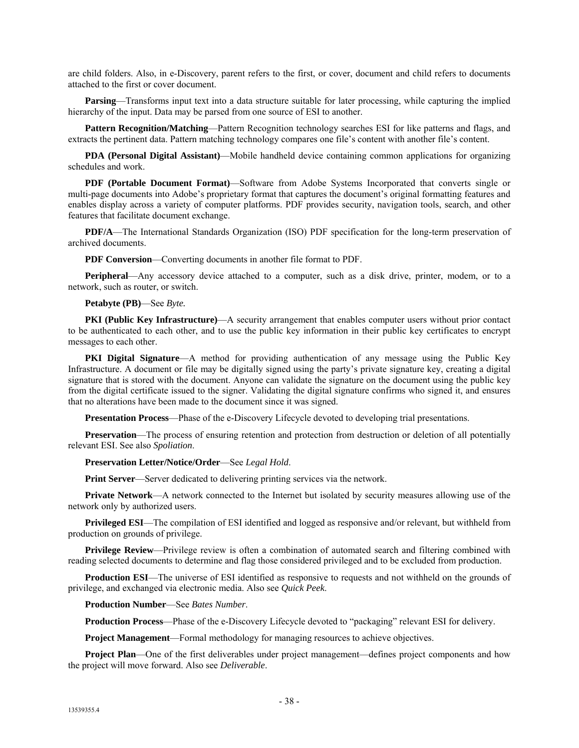are child folders. Also, in e-Discovery, parent refers to the first, or cover, document and child refers to documents attached to the first or cover document.

**Parsing**—Transforms input text into a data structure suitable for later processing, while capturing the implied hierarchy of the input. Data may be parsed from one source of ESI to another.

**Pattern Recognition/Matching**—Pattern Recognition technology searches ESI for like patterns and flags, and extracts the pertinent data. Pattern matching technology compares one file's content with another file's content.

**PDA (Personal Digital Assistant)**—Mobile handheld device containing common applications for organizing schedules and work.

**PDF (Portable Document Format)**—Software from Adobe Systems Incorporated that converts single or multi-page documents into Adobe's proprietary format that captures the document's original formatting features and enables display across a variety of computer platforms. PDF provides security, navigation tools, search, and other features that facilitate document exchange.

**PDF/A**—The International Standards Organization (ISO) PDF specification for the long-term preservation of archived documents.

**PDF Conversion**—Converting documents in another file format to PDF.

**Peripheral**—Any accessory device attached to a computer, such as a disk drive, printer, modem, or to a network, such as router, or switch.

**Petabyte (PB)**—See *Byte.*

**PKI (Public Key Infrastructure)**—A security arrangement that enables computer users without prior contact to be authenticated to each other, and to use the public key information in their public key certificates to encrypt messages to each other.

**PKI Digital Signature**—A method for providing authentication of any message using the Public Key Infrastructure. A document or file may be digitally signed using the party's private signature key, creating a digital signature that is stored with the document. Anyone can validate the signature on the document using the public key from the digital certificate issued to the signer. Validating the digital signature confirms who signed it, and ensures that no alterations have been made to the document since it was signed.

**Presentation Process**—Phase of the e-Discovery Lifecycle devoted to developing trial presentations.

**Preservation—The process of ensuring retention and protection from destruction or deletion of all potentially** relevant ESI. See also *Spoliation*.

**Preservation Letter/Notice/Order**—See *Legal Hold*.

**Print Server**—Server dedicated to delivering printing services via the network.

**Private Network—A** network connected to the Internet but isolated by security measures allowing use of the network only by authorized users.

**Privileged ESI**—The compilation of ESI identified and logged as responsive and/or relevant, but withheld from production on grounds of privilege.

**Privilege Review**—Privilege review is often a combination of automated search and filtering combined with reading selected documents to determine and flag those considered privileged and to be excluded from production.

**Production ESI**—The universe of ESI identified as responsive to requests and not withheld on the grounds of privilege, and exchanged via electronic media. Also see *Quick Peek*.

**Production Number**—See *Bates Number*.

**Production Process**—Phase of the e-Discovery Lifecycle devoted to "packaging" relevant ESI for delivery.

**Project Management**—Formal methodology for managing resources to achieve objectives.

**Project Plan**—One of the first deliverables under project management—defines project components and how the project will move forward. Also see *Deliverable*.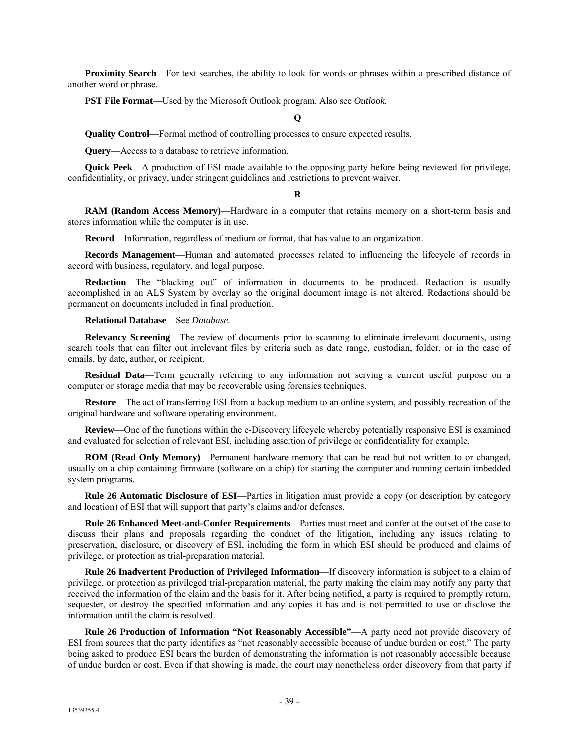**Proximity Search**—For text searches, the ability to look for words or phrases within a prescribed distance of another word or phrase.

**PST File Format**—Used by the Microsoft Outlook program. Also see *Outlook.*

#### **Q**

**Quality Control**—Formal method of controlling processes to ensure expected results.

**Query**—Access to a database to retrieve information.

**Quick Peek**—A production of ESI made available to the opposing party before being reviewed for privilege, confidentiality, or privacy, under stringent guidelines and restrictions to prevent waiver.

#### **R**

**RAM (Random Access Memory)**—Hardware in a computer that retains memory on a short-term basis and stores information while the computer is in use.

**Record**—Information, regardless of medium or format, that has value to an organization.

**Records Management**—Human and automated processes related to influencing the lifecycle of records in accord with business, regulatory, and legal purpose.

**Redaction**—The "blacking out" of information in documents to be produced. Redaction is usually accomplished in an ALS System by overlay so the original document image is not altered. Redactions should be permanent on documents included in final production.

**Relational Database**—See *Database.*

**Relevancy Screening**—The review of documents prior to scanning to eliminate irrelevant documents, using search tools that can filter out irrelevant files by criteria such as date range, custodian, folder, or in the case of emails, by date, author, or recipient.

**Residual Data**—Term generally referring to any information not serving a current useful purpose on a computer or storage media that may be recoverable using forensics techniques.

**Restore**—The act of transferring ESI from a backup medium to an online system, and possibly recreation of the original hardware and software operating environment.

**Review**—One of the functions within the e-Discovery lifecycle whereby potentially responsive ESI is examined and evaluated for selection of relevant ESI, including assertion of privilege or confidentiality for example.

**ROM (Read Only Memory)**—Permanent hardware memory that can be read but not written to or changed, usually on a chip containing firmware (software on a chip) for starting the computer and running certain imbedded system programs.

**Rule 26 Automatic Disclosure of ESI**—Parties in litigation must provide a copy (or description by category and location) of ESI that will support that party's claims and/or defenses.

**Rule 26 Enhanced Meet-and-Confer Requirements**—Parties must meet and confer at the outset of the case to discuss their plans and proposals regarding the conduct of the litigation, including any issues relating to preservation, disclosure, or discovery of ESI, including the form in which ESI should be produced and claims of privilege, or protection as trial-preparation material.

**Rule 26 Inadvertent Production of Privileged Information**—If discovery information is subject to a claim of privilege, or protection as privileged trial-preparation material, the party making the claim may notify any party that received the information of the claim and the basis for it. After being notified, a party is required to promptly return, sequester, or destroy the specified information and any copies it has and is not permitted to use or disclose the information until the claim is resolved.

**Rule 26 Production of Information "Not Reasonably Accessible"**—A party need not provide discovery of ESI from sources that the party identifies as "not reasonably accessible because of undue burden or cost." The party being asked to produce ESI bears the burden of demonstrating the information is not reasonably accessible because of undue burden or cost. Even if that showing is made, the court may nonetheless order discovery from that party if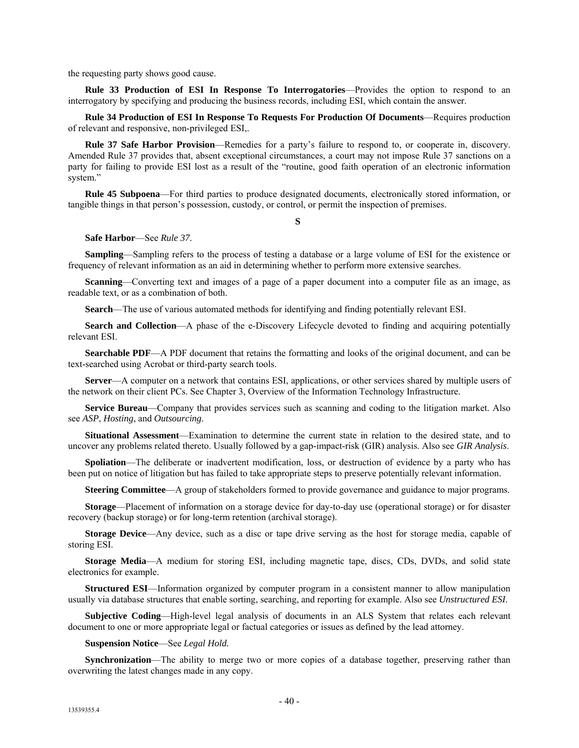the requesting party shows good cause.

**Rule 33 Production of ESI In Response To Interrogatories**—Provides the option to respond to an interrogatory by specifying and producing the business records, including ESI, which contain the answer.

**Rule 34 Production of ESI In Response To Requests For Production Of Documents**—Requires production of relevant and responsive, non-privileged ESI,.

**Rule 37 Safe Harbor Provision**—Remedies for a party's failure to respond to, or cooperate in, discovery. Amended Rule 37 provides that, absent exceptional circumstances, a court may not impose Rule 37 sanctions on a party for failing to provide ESI lost as a result of the "routine, good faith operation of an electronic information system."

**Rule 45 Subpoena**—For third parties to produce designated documents, electronically stored information, or tangible things in that person's possession, custody, or control, or permit the inspection of premises.

**S**

#### **Safe Harbor**—See *Rule 37.*

**Sampling**—Sampling refers to the process of testing a database or a large volume of ESI for the existence or frequency of relevant information as an aid in determining whether to perform more extensive searches.

**Scanning**—Converting text and images of a page of a paper document into a computer file as an image, as readable text, or as a combination of both.

**Search**—The use of various automated methods for identifying and finding potentially relevant ESI.

**Search and Collection—A** phase of the e-Discovery Lifecycle devoted to finding and acquiring potentially relevant ESI.

**Searchable PDF—A** PDF document that retains the formatting and looks of the original document, and can be text-searched using Acrobat or third-party search tools.

**Server**—A computer on a network that contains ESI, applications, or other services shared by multiple users of the network on their client PCs. See Chapter 3, Overview of the Information Technology Infrastructure.

**Service Bureau**—Company that provides services such as scanning and coding to the litigation market. Also see *ASP*, *Hosting*, and *Outsourcing*.

**Situational Assessment**—Examination to determine the current state in relation to the desired state, and to uncover any problems related thereto. Usually followed by a gap-impact-risk (GIR) analysis. Also see *GIR Analysis*.

**Spoliation**—The deliberate or inadvertent modification, loss, or destruction of evidence by a party who has been put on notice of litigation but has failed to take appropriate steps to preserve potentially relevant information.

**Steering Committee**—A group of stakeholders formed to provide governance and guidance to major programs.

**Storage**—Placement of information on a storage device for day-to-day use (operational storage) or for disaster recovery (backup storage) or for long-term retention (archival storage).

**Storage Device**—Any device, such as a disc or tape drive serving as the host for storage media, capable of storing ESI.

**Storage Media**—A medium for storing ESI, including magnetic tape, discs, CDs, DVDs, and solid state electronics for example.

**Structured ESI**—Information organized by computer program in a consistent manner to allow manipulation usually via database structures that enable sorting, searching, and reporting for example. Also see *Unstructured ESI*.

**Subjective Coding**—High-level legal analysis of documents in an ALS System that relates each relevant document to one or more appropriate legal or factual categories or issues as defined by the lead attorney.

#### **Suspension Notice**—See *Legal Hold.*

**Synchronization**—The ability to merge two or more copies of a database together, preserving rather than overwriting the latest changes made in any copy.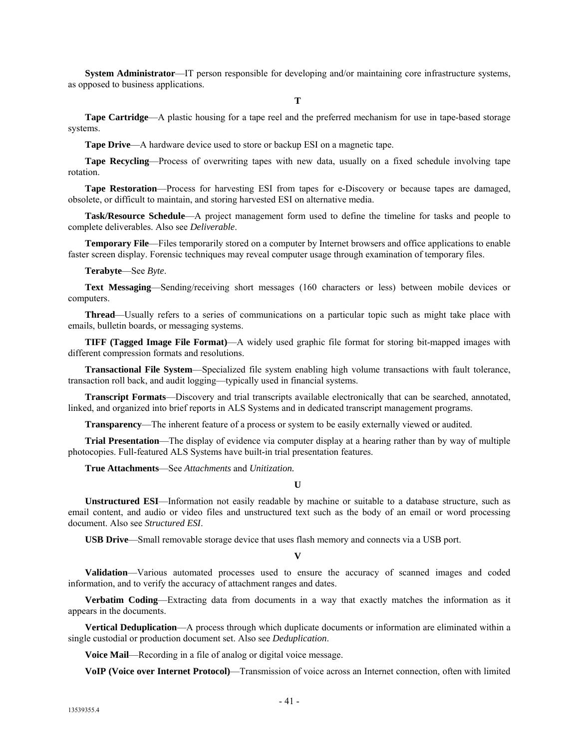**System Administrator**—IT person responsible for developing and/or maintaining core infrastructure systems, as opposed to business applications.

**T**

**Tape Cartridge**—A plastic housing for a tape reel and the preferred mechanism for use in tape-based storage systems.

**Tape Drive**—A hardware device used to store or backup ESI on a magnetic tape.

**Tape Recycling**—Process of overwriting tapes with new data, usually on a fixed schedule involving tape rotation.

**Tape Restoration**—Process for harvesting ESI from tapes for e-Discovery or because tapes are damaged, obsolete, or difficult to maintain, and storing harvested ESI on alternative media.

**Task/Resource Schedule**—A project management form used to define the timeline for tasks and people to complete deliverables. Also see *Deliverable*.

**Temporary File**—Files temporarily stored on a computer by Internet browsers and office applications to enable faster screen display. Forensic techniques may reveal computer usage through examination of temporary files.

**Terabyte**—See *Byte*.

**Text Messaging**—Sending/receiving short messages (160 characters or less) between mobile devices or computers.

**Thread**—Usually refers to a series of communications on a particular topic such as might take place with emails, bulletin boards, or messaging systems.

**TIFF (Tagged Image File Format)**—A widely used graphic file format for storing bit-mapped images with different compression formats and resolutions.

**Transactional File System**—Specialized file system enabling high volume transactions with fault tolerance, transaction roll back, and audit logging—typically used in financial systems.

**Transcript Formats**—Discovery and trial transcripts available electronically that can be searched, annotated, linked, and organized into brief reports in ALS Systems and in dedicated transcript management programs.

**Transparency**—The inherent feature of a process or system to be easily externally viewed or audited.

**Trial Presentation**—The display of evidence via computer display at a hearing rather than by way of multiple photocopies. Full-featured ALS Systems have built-in trial presentation features.

**True Attachments**—See *Attachments* and *Unitization.*

**U**

**Unstructured ESI**—Information not easily readable by machine or suitable to a database structure, such as email content, and audio or video files and unstructured text such as the body of an email or word processing document. Also see *Structured ESI*.

**USB Drive**—Small removable storage device that uses flash memory and connects via a USB port.

**V**

**Validation**—Various automated processes used to ensure the accuracy of scanned images and coded information, and to verify the accuracy of attachment ranges and dates.

**Verbatim Coding**—Extracting data from documents in a way that exactly matches the information as it appears in the documents.

**Vertical Deduplication**—A process through which duplicate documents or information are eliminated within a single custodial or production document set. Also see *Deduplication*.

**Voice Mail**—Recording in a file of analog or digital voice message.

**VoIP (Voice over Internet Protocol)**—Transmission of voice across an Internet connection, often with limited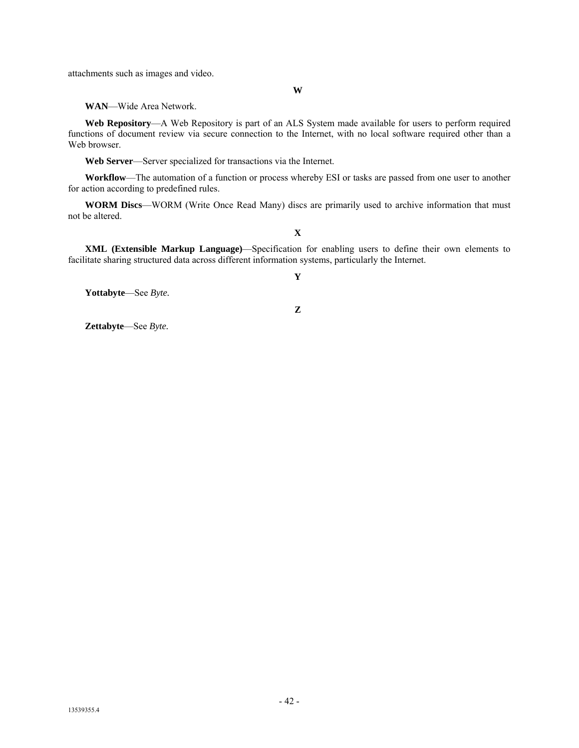attachments such as images and video.

**W**

**WAN**—Wide Area Network.

**Web Repository**—A Web Repository is part of an ALS System made available for users to perform required functions of document review via secure connection to the Internet, with no local software required other than a Web browser.

**Web Server**—Server specialized for transactions via the Internet.

**Workflow**—The automation of a function or process whereby ESI or tasks are passed from one user to another for action according to predefined rules.

**WORM Discs**—WORM (Write Once Read Many) discs are primarily used to archive information that must not be altered.

**XML (Extensible Markup Language)**—Specification for enabling users to define their own elements to facilitate sharing structured data across different information systems, particularly the Internet.

**X**

**Yottabyte**—See *Byte.*

**Z**

**Y**

**Zettabyte**—See *Byte.*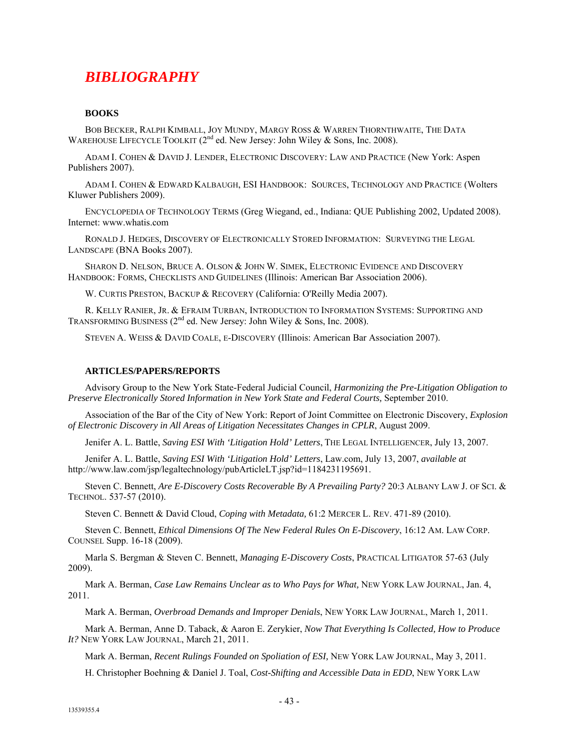## *BIBLIOGRAPHY*

#### **BOOKS**

BOB BECKER, RALPH KIMBALL, JOY MUNDY, MARGY ROSS & WARREN THORNTHWAITE, THE DATA WAREHOUSE LIFECYCLE TOOLKIT ( $2^{nd}$  ed. New Jersey: John Wiley & Sons, Inc. 2008).

ADAM I. COHEN & DAVID J. LENDER, ELECTRONIC DISCOVERY: LAW AND PRACTICE (New York: Aspen Publishers 2007).

ADAM I. COHEN & EDWARD KALBAUGH, ESI HANDBOOK: SOURCES, TECHNOLOGY AND PRACTICE (Wolters Kluwer Publishers 2009).

ENCYCLOPEDIA OF TECHNOLOGY TERMS (Greg Wiegand, ed., Indiana: QUE Publishing 2002, Updated 2008). Internet: www.whatis.com

RONALD J. HEDGES, DISCOVERY OF ELECTRONICALLY STORED INFORMATION: SURVEYING THE LEGAL LANDSCAPE (BNA Books 2007).

SHARON D. NELSON, BRUCE A. OLSON & JOHN W. SIMEK, ELECTRONIC EVIDENCE AND DISCOVERY HANDBOOK: FORMS, CHECKLISTS AND GUIDELINES (Illinois: American Bar Association 2006).

W. CURTIS PRESTON, BACKUP & RECOVERY (California: O'Reilly Media 2007).

R. KELLY RANIER, JR. & EFRAIM TURBAN, INTRODUCTION TO INFORMATION SYSTEMS: SUPPORTING AND TRANSFORMING BUSINESS  $(2^{nd}$  ed. New Jersey: John Wiley & Sons, Inc. 2008).

STEVEN A. WEISS & DAVID COALE, E-DISCOVERY (Illinois: American Bar Association 2007).

#### **ARTICLES/PAPERS/REPORTS**

Advisory Group to the New York State-Federal Judicial Council, *Harmonizing the Pre-Litigation Obligation to Preserve Electronically Stored Information in New York State and Federal Courts, September 2010.* 

Association of the Bar of the City of New York: Report of Joint Committee on Electronic Discovery, *Explosion of Electronic Discovery in All Areas of Litigation Necessitates Changes in CPLR*, August 2009.

Jenifer A. L. Battle, *Saving ESI With 'Litigation Hold' Letters*, THE LEGAL INTELLIGENCER, July 13, 2007.

Jenifer A. L. Battle, *Saving ESI With 'Litigation Hold' Letters*, Law.com, July 13, 2007, *available at* http://www.law.com/jsp/legaltechnology/pubArticleLT.jsp?id=1184231195691.

Steven C. Bennett, *Are E-Discovery Costs Recoverable By A Prevailing Party?* 20:3 ALBANY LAW J. OF SCI. & TECHNOL. 537-57 (2010).

Steven C. Bennett & David Cloud, *Coping with Metadata,* 61:2 MERCER L. REV. 471-89 (2010).

Steven C. Bennett, *Ethical Dimensions Of The New Federal Rules On E-Discovery*, 16:12 AM. LAW CORP. COUNSEL Supp. 16-18 (2009).

Marla S. Bergman & Steven C. Bennett, *Managing E-Discovery Costs*, PRACTICAL LITIGATOR 57-63 (July 2009).

Mark A. Berman, *Case Law Remains Unclear as to Who Pays for What,* NEW YORK LAW JOURNAL, Jan. 4, 2011.

Mark A. Berman, *Overbroad Demands and Improper Denials*, NEW YORK LAW JOURNAL, March 1, 2011.

Mark A. Berman, Anne D. Taback, & Aaron E. Zerykier, *Now That Everything Is Collected, How to Produce It?* NEW YORK LAW JOURNAL, March 21, 2011.

Mark A. Berman, *Recent Rulings Founded on Spoliation of ESI,* NEW YORK LAW JOURNAL, May 3, 2011.

H. Christopher Boehning & Daniel J. Toal, *Cost-Shifting and Accessible Data in EDD*, NEW YORK LAW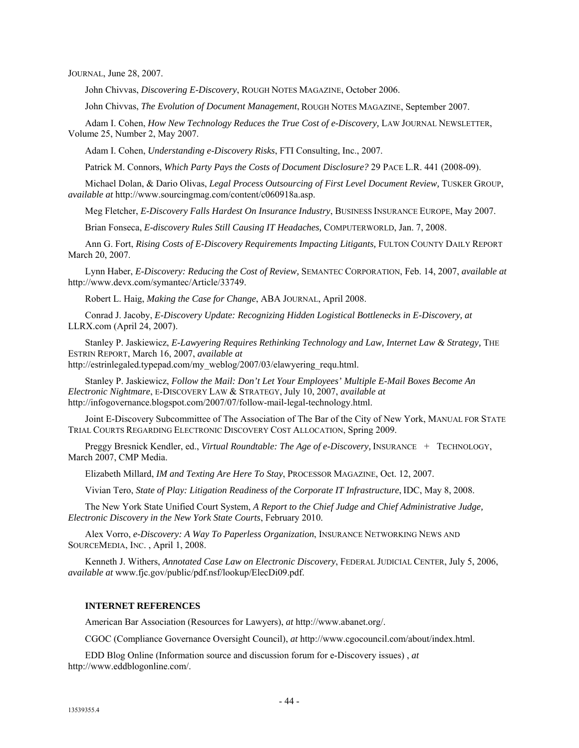JOURNAL, June 28, 2007.

John Chivvas, *Discovering E-Discovery*, ROUGH NOTES MAGAZINE, October 2006.

John Chivvas, *The Evolution of Document Management*, ROUGH NOTES MAGAZINE, September 2007.

Adam I. Cohen, *How New Technology Reduces the True Cost of e-Discovery,* LAW JOURNAL NEWSLETTER, Volume 25, Number 2, May 2007.

Adam I. Cohen, *Understanding e-Discovery Risks*, FTI Consulting, Inc., 2007.

Patrick M. Connors, *Which Party Pays the Costs of Document Disclosure?* 29 PACE L.R. 441 (2008-09).

Michael Dolan, & Dario Olivas, *Legal Process Outsourcing of First Level Document Review,* TUSKER GROUP, *available at* http://www.sourcingmag.com/content/c060918a.asp.

Meg Fletcher, *E-Discovery Falls Hardest On Insurance Industry*, BUSINESS INSURANCE EUROPE, May 2007.

Brian Fonseca, *E-discovery Rules Still Causing IT Headaches,* COMPUTERWORLD, Jan. 7, 2008.

Ann G. Fort, *Rising Costs of E-Discovery Requirements Impacting Litigants,* FULTON COUNTY DAILY REPORT March 20, 2007.

Lynn Haber, *E-Discovery: Reducing the Cost of Review,* SEMANTEC CORPORATION, Feb. 14, 2007, *available at* http://www.devx.com/symantec/Article/33749.

Robert L. Haig, *Making the Case for Change*, ABA JOURNAL, April 2008.

Conrad J. Jacoby, *E-Discovery Update: Recognizing Hidden Logistical Bottlenecks in E-Discovery, at* LLRX.com (April 24, 2007).

Stanley P. Jaskiewicz, *E-Lawyering Requires Rethinking Technology and Law, Internet Law & Strategy,* THE ESTRIN REPORT, March 16, 2007, *available at*

http://estrinlegaled.typepad.com/my\_weblog/2007/03/elawyering\_requ.html.

Stanley P. Jaskiewicz, *Follow the Mail: Don't Let Your Employees' Multiple E-Mail Boxes Become An Electronic Nightmare*, E-DISCOVERY LAW & STRATEGY, July 10, 2007, *available at* http://infogovernance.blogspot.com/2007/07/follow-mail-legal-technology.html.

Joint E-Discovery Subcommittee of The Association of The Bar of the City of New York, MANUAL FOR STATE TRIAL COURTS REGARDING ELECTRONIC DISCOVERY COST ALLOCATION, Spring 2009.

Preggy Bresnick Kendler, ed., *Virtual Roundtable: The Age of e-Discovery*, INSURANCE + TECHNOLOGY, March 2007, CMP Media.

Elizabeth Millard, *IM and Texting Are Here To Stay*, PROCESSOR MAGAZINE, Oct. 12, 2007.

Vivian Tero, *State of Play: Litigation Readiness of the Corporate IT Infrastructure*, IDC, May 8, 2008.

The New York State Unified Court System, *A Report to the Chief Judge and Chief Administrative Judge, Electronic Discovery in the New York State Courts*, February 2010.

Alex Vorro, *e-Discovery: A Way To Paperless Organization*, INSURANCE NETWORKING NEWS AND SOURCEMEDIA, INC. , April 1, 2008.

Kenneth J. Withers, *Annotated Case Law on Electronic Discovery*, FEDERAL JUDICIAL CENTER, July 5, 2006, *available at* www.fjc.gov/public/pdf.nsf/lookup/ElecDi09.pdf.

#### **INTERNET REFERENCES**

American Bar Association (Resources for Lawyers), *at* http://www.abanet.org/.

CGOC (Compliance Governance Oversight Council), *at* http://www.cgocouncil.com/about/index.html.

EDD Blog Online (Information source and discussion forum for e-Discovery issues) , *at* http://www.eddblogonline.com/.